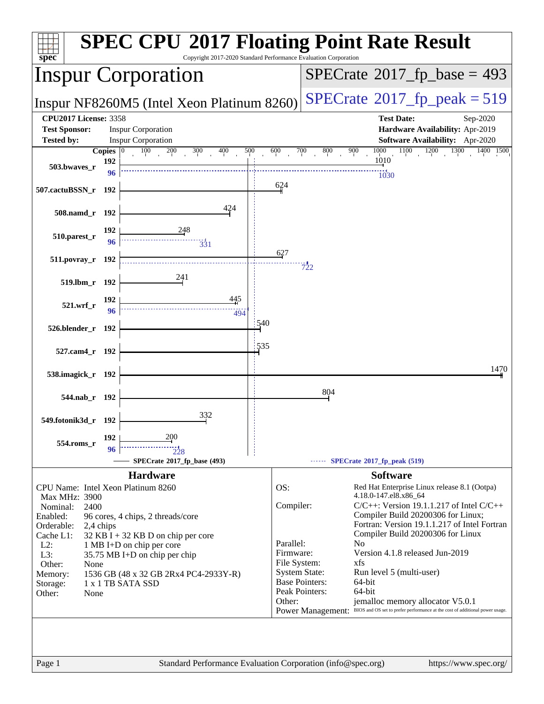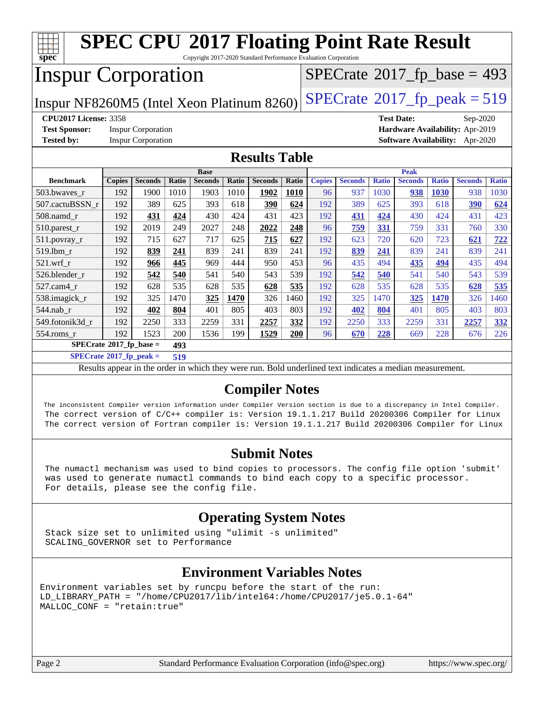| spec <sup>®</sup>                                                            |                                                                                                          |                           |       |                |       | <b>SPEC CPU®2017 Floating Point Rate Result</b><br>Copyright 2017-2020 Standard Performance Evaluation Corporation |       |               |                |              |                |              |                                        |              |
|------------------------------------------------------------------------------|----------------------------------------------------------------------------------------------------------|---------------------------|-------|----------------|-------|--------------------------------------------------------------------------------------------------------------------|-------|---------------|----------------|--------------|----------------|--------------|----------------------------------------|--------------|
| <b>Inspur Corporation</b><br>$SPECrate^{\circ}2017_fp\_base = 493$           |                                                                                                          |                           |       |                |       |                                                                                                                    |       |               |                |              |                |              |                                        |              |
| $SPECTate@2017_fp\_peak = 519$<br>Inspur NF8260M5 (Intel Xeon Platinum 8260) |                                                                                                          |                           |       |                |       |                                                                                                                    |       |               |                |              |                |              |                                        |              |
|                                                                              | <b>CPU2017 License: 3358</b><br><b>Test Date:</b><br>Sep-2020                                            |                           |       |                |       |                                                                                                                    |       |               |                |              |                |              |                                        |              |
| <b>Test Sponsor:</b>                                                         |                                                                                                          | <b>Inspur Corporation</b> |       |                |       |                                                                                                                    |       |               |                |              |                |              | Hardware Availability: Apr-2019        |              |
| <b>Tested by:</b>                                                            |                                                                                                          | <b>Inspur Corporation</b> |       |                |       |                                                                                                                    |       |               |                |              |                |              | <b>Software Availability:</b> Apr-2020 |              |
| <b>Results Table</b>                                                         |                                                                                                          |                           |       |                |       |                                                                                                                    |       |               |                |              |                |              |                                        |              |
|                                                                              |                                                                                                          |                           |       | <b>Base</b>    |       |                                                                                                                    |       |               |                |              | <b>Peak</b>    |              |                                        |              |
| <b>Benchmark</b>                                                             | <b>Copies</b>                                                                                            | <b>Seconds</b>            | Ratio | <b>Seconds</b> | Ratio | <b>Seconds</b>                                                                                                     | Ratio | <b>Copies</b> | <b>Seconds</b> | <b>Ratio</b> | <b>Seconds</b> | <b>Ratio</b> | <b>Seconds</b>                         | <b>Ratio</b> |
| 503.bwaves r                                                                 | 192                                                                                                      | 1900                      | 1010  | 1903           | 1010  | 1902                                                                                                               | 1010  | 96            | 937            | 1030         | 938            | 1030         | 938                                    | 1030         |
| 507.cactuBSSN_r                                                              | 192                                                                                                      | 389                       | 625   | 393            | 618   | 390                                                                                                                | 624   | 192           | 389            | 625          | 393            | 618          | 390                                    | 624          |
| 508.namd r                                                                   | 192                                                                                                      | 431                       | 424   | 430            | 424   | 431                                                                                                                | 423   | 192           | 431            | 424          | 430            | 424          | 431                                    | 423          |
| 510.parest_r                                                                 | 192                                                                                                      | 2019                      | 249   | 2027           | 248   | 2022                                                                                                               | 248   | 96            | 759            | 331          | 759            | 331          | 760                                    | 330          |
| $511.$ povray_r                                                              | 192                                                                                                      | 715                       | 627   | 717            | 625   | 715                                                                                                                | 627   | 192           | 623            | 720          | 620            | 723          | 621                                    | 722          |
| 519.1bm_r                                                                    | 192                                                                                                      | 839                       | 241   | 839            | 241   | 839                                                                                                                | 241   | 192           | 839            | 241          | 839            | 241          | 839                                    | 241          |
| 521.wrf r                                                                    | 192                                                                                                      | 966                       | 445   | 969            | 444   | 950                                                                                                                | 453   | 96            | 435            | 494          | 435            | 494          | 435                                    | 494          |
| 526.blender r                                                                | 192                                                                                                      | 542                       | 540   | 541            | 540   | 543                                                                                                                | 539   | 192           | 542            | 540          | 541            | 540          | 543                                    | 539          |
| 527.cam4_r                                                                   | 192                                                                                                      | 628                       | 535   | 628            | 535   | 628                                                                                                                | 535   | 192           | 628            | 535          | 628            | 535          | 628                                    | 535          |
| 538.imagick_r                                                                | 192                                                                                                      | 325                       | 1470  | 325            | 1470  | 326                                                                                                                | 1460  | 192           | 325            | 1470         | 325            | 1470         | 326                                    | 1460         |
| 544.nab_r                                                                    | 192                                                                                                      | 402                       | 804   | 401            | 805   | 403                                                                                                                | 803   | 192           | 402            | 804          | 401            | 805          | 403                                    | 803          |
| 549.fotonik3d r                                                              | 192                                                                                                      | 2250                      | 333   | 2259           | 331   | 2257                                                                                                               | 332   | 192           | 2250           | 333          | 2259           | 331          | 2257                                   | 332          |
| 554.roms_r                                                                   | 192                                                                                                      | 1523                      | 200   | 1536           | 199   | 1529                                                                                                               | 200   | 96            | 670            | 228          | 669            | 228          | 676                                    | 226          |
| $SPECrate^*2017_fp\_base =$                                                  |                                                                                                          |                           | 493   |                |       |                                                                                                                    |       |               |                |              |                |              |                                        |              |
| $SPECrate^{\circ}2017$ _fp_peak =                                            |                                                                                                          |                           | 519   |                |       |                                                                                                                    |       |               |                |              |                |              |                                        |              |
|                                                                              | Results appear in the order in which they were run. Bold underlined text indicates a median measurement. |                           |       |                |       |                                                                                                                    |       |               |                |              |                |              |                                        |              |
| <b>Compiler Notes</b>                                                        |                                                                                                          |                           |       |                |       |                                                                                                                    |       |               |                |              |                |              |                                        |              |

 The inconsistent Compiler version information under Compiler Version section is due to a discrepancy in Intel Compiler. The correct version of C/C++ compiler is: Version 19.1.1.217 Build 20200306 Compiler for Linux The correct version of Fortran compiler is: Version 19.1.1.217 Build 20200306 Compiler for Linux

#### **[Submit Notes](http://www.spec.org/auto/cpu2017/Docs/result-fields.html#SubmitNotes)**

 The numactl mechanism was used to bind copies to processors. The config file option 'submit' was used to generate numactl commands to bind each copy to a specific processor. For details, please see the config file.

#### **[Operating System Notes](http://www.spec.org/auto/cpu2017/Docs/result-fields.html#OperatingSystemNotes)**

 Stack size set to unlimited using "ulimit -s unlimited" SCALING\_GOVERNOR set to Performance

#### **[Environment Variables Notes](http://www.spec.org/auto/cpu2017/Docs/result-fields.html#EnvironmentVariablesNotes)**

Environment variables set by runcpu before the start of the run: LD\_LIBRARY\_PATH = "/home/CPU2017/lib/intel64:/home/CPU2017/je5.0.1-64" MALLOC\_CONF = "retain:true"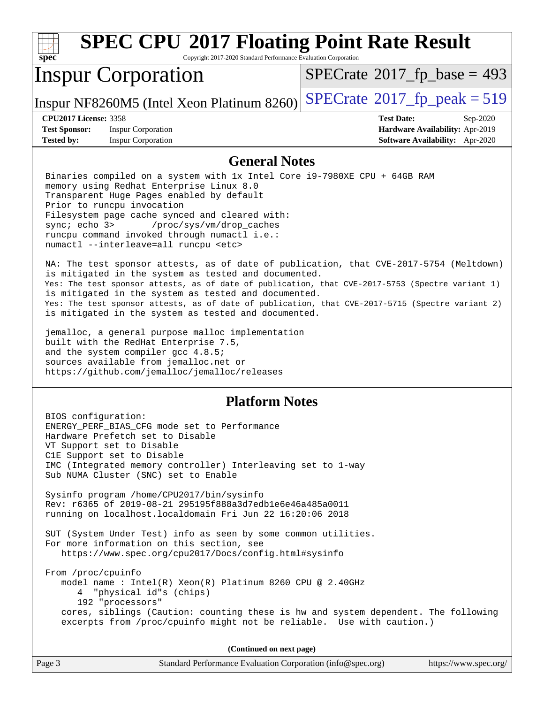|                                                                                                                                                                                                                                                                                                                                                                                                                                                                                                                                                                                                                                                                                                                                                                                                                                                                                                                                                                                                                                                                                                                                                | <b>SPEC CPU®2017 Floating Point Rate Result</b>                                                                                                                                                                                                     |                                            |  |  |  |
|------------------------------------------------------------------------------------------------------------------------------------------------------------------------------------------------------------------------------------------------------------------------------------------------------------------------------------------------------------------------------------------------------------------------------------------------------------------------------------------------------------------------------------------------------------------------------------------------------------------------------------------------------------------------------------------------------------------------------------------------------------------------------------------------------------------------------------------------------------------------------------------------------------------------------------------------------------------------------------------------------------------------------------------------------------------------------------------------------------------------------------------------|-----------------------------------------------------------------------------------------------------------------------------------------------------------------------------------------------------------------------------------------------------|--------------------------------------------|--|--|--|
| spec <sup>®</sup>                                                                                                                                                                                                                                                                                                                                                                                                                                                                                                                                                                                                                                                                                                                                                                                                                                                                                                                                                                                                                                                                                                                              | Copyright 2017-2020 Standard Performance Evaluation Corporation                                                                                                                                                                                     |                                            |  |  |  |
|                                                                                                                                                                                                                                                                                                                                                                                                                                                                                                                                                                                                                                                                                                                                                                                                                                                                                                                                                                                                                                                                                                                                                | <b>Inspur Corporation</b>                                                                                                                                                                                                                           | $SPECTate$ <sup>®</sup> 2017_fp_base = 493 |  |  |  |
|                                                                                                                                                                                                                                                                                                                                                                                                                                                                                                                                                                                                                                                                                                                                                                                                                                                                                                                                                                                                                                                                                                                                                | Inspur NF8260M5 (Intel Xeon Platinum 8260)                                                                                                                                                                                                          | $SPECTate@2017_fp\_peak = 519$             |  |  |  |
| <b>CPU2017 License: 3358</b>                                                                                                                                                                                                                                                                                                                                                                                                                                                                                                                                                                                                                                                                                                                                                                                                                                                                                                                                                                                                                                                                                                                   |                                                                                                                                                                                                                                                     | <b>Test Date:</b><br>Sep-2020              |  |  |  |
| <b>Test Sponsor:</b>                                                                                                                                                                                                                                                                                                                                                                                                                                                                                                                                                                                                                                                                                                                                                                                                                                                                                                                                                                                                                                                                                                                           | <b>Inspur Corporation</b>                                                                                                                                                                                                                           | Hardware Availability: Apr-2019            |  |  |  |
| <b>Tested by:</b>                                                                                                                                                                                                                                                                                                                                                                                                                                                                                                                                                                                                                                                                                                                                                                                                                                                                                                                                                                                                                                                                                                                              | <b>Inspur Corporation</b>                                                                                                                                                                                                                           | <b>Software Availability:</b> Apr-2020     |  |  |  |
|                                                                                                                                                                                                                                                                                                                                                                                                                                                                                                                                                                                                                                                                                                                                                                                                                                                                                                                                                                                                                                                                                                                                                |                                                                                                                                                                                                                                                     |                                            |  |  |  |
| <b>General Notes</b><br>Binaries compiled on a system with 1x Intel Core i9-7980XE CPU + 64GB RAM<br>memory using Redhat Enterprise Linux 8.0<br>Transparent Huge Pages enabled by default<br>Prior to runcpu invocation<br>Filesystem page cache synced and cleared with:<br>sync; $echo$ $3>$<br>/proc/sys/vm/drop caches<br>runcpu command invoked through numactl i.e.:<br>numactl --interleave=all runcpu <etc><br/>NA: The test sponsor attests, as of date of publication, that CVE-2017-5754 (Meltdown)<br/>is mitigated in the system as tested and documented.<br/>Yes: The test sponsor attests, as of date of publication, that CVE-2017-5753 (Spectre variant 1)<br/>is mitigated in the system as tested and documented.<br/>Yes: The test sponsor attests, as of date of publication, that CVE-2017-5715 (Spectre variant 2)<br/>is mitigated in the system as tested and documented.<br/>jemalloc, a general purpose malloc implementation<br/>built with the RedHat Enterprise 7.5,<br/>and the system compiler gcc 4.8.5;<br/>sources available from jemalloc.net or<br/>https://github.com/jemalloc/jemalloc/releases</etc> |                                                                                                                                                                                                                                                     |                                            |  |  |  |
|                                                                                                                                                                                                                                                                                                                                                                                                                                                                                                                                                                                                                                                                                                                                                                                                                                                                                                                                                                                                                                                                                                                                                | <b>Platform Notes</b>                                                                                                                                                                                                                               |                                            |  |  |  |
| BIOS configuration:                                                                                                                                                                                                                                                                                                                                                                                                                                                                                                                                                                                                                                                                                                                                                                                                                                                                                                                                                                                                                                                                                                                            | ENERGY_PERF_BIAS_CFG mode set to Performance<br>Hardware Prefetch set to Disable<br>VT Support set to Disable<br>ClE Support set to Disable<br>IMC (Integrated memory controller) Interleaving set to 1-way<br>Sub NUMA Cluster (SNC) set to Enable |                                            |  |  |  |

 Sysinfo program /home/CPU2017/bin/sysinfo Rev: r6365 of 2019-08-21 295195f888a3d7edb1e6e46a485a0011 running on localhost.localdomain Fri Jun 22 16:20:06 2018

 SUT (System Under Test) info as seen by some common utilities. For more information on this section, see <https://www.spec.org/cpu2017/Docs/config.html#sysinfo>

 From /proc/cpuinfo model name : Intel(R) Xeon(R) Platinum 8260 CPU @ 2.40GHz 4 "physical id"s (chips) 192 "processors" cores, siblings (Caution: counting these is hw and system dependent. The following excerpts from /proc/cpuinfo might not be reliable. Use with caution.)

**(Continued on next page)**

| Page 3 | Standard Performance Evaluation Corporation (info@spec.org) | https://www.spec.org/ |
|--------|-------------------------------------------------------------|-----------------------|
|--------|-------------------------------------------------------------|-----------------------|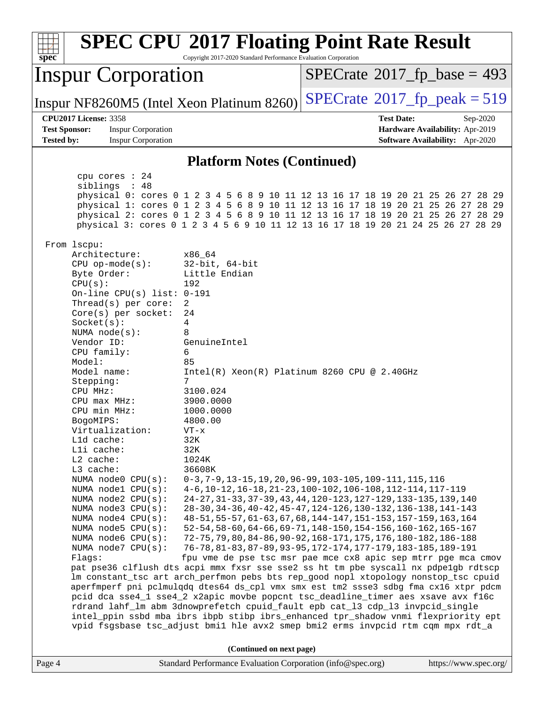| Copyright 2017-2020 Standard Performance Evaluation Corporation<br>spec <sup>®</sup>                                                                                                                                                                                                                                                                                                                                                                                                                                                                                                                                                                                                                                                                                                                                                                                                                 | <b>SPEC CPU®2017 Floating Point Rate Result</b>                                                                                                                                                                                                                                                                                                                                                                                                                                                                                                                                                                                                                                                                                                                                                                                                                                                                                                                                                                                                                                                                                                                                                    |
|------------------------------------------------------------------------------------------------------------------------------------------------------------------------------------------------------------------------------------------------------------------------------------------------------------------------------------------------------------------------------------------------------------------------------------------------------------------------------------------------------------------------------------------------------------------------------------------------------------------------------------------------------------------------------------------------------------------------------------------------------------------------------------------------------------------------------------------------------------------------------------------------------|----------------------------------------------------------------------------------------------------------------------------------------------------------------------------------------------------------------------------------------------------------------------------------------------------------------------------------------------------------------------------------------------------------------------------------------------------------------------------------------------------------------------------------------------------------------------------------------------------------------------------------------------------------------------------------------------------------------------------------------------------------------------------------------------------------------------------------------------------------------------------------------------------------------------------------------------------------------------------------------------------------------------------------------------------------------------------------------------------------------------------------------------------------------------------------------------------|
| <b>Inspur Corporation</b>                                                                                                                                                                                                                                                                                                                                                                                                                                                                                                                                                                                                                                                                                                                                                                                                                                                                            | $SPECrate^{\circ}2017$ [p base = 493                                                                                                                                                                                                                                                                                                                                                                                                                                                                                                                                                                                                                                                                                                                                                                                                                                                                                                                                                                                                                                                                                                                                                               |
| Inspur NF8260M5 (Intel Xeon Platinum 8260)                                                                                                                                                                                                                                                                                                                                                                                                                                                                                                                                                                                                                                                                                                                                                                                                                                                           | $SPECTate$ <sup>®</sup> 2017_fp_peak = 519                                                                                                                                                                                                                                                                                                                                                                                                                                                                                                                                                                                                                                                                                                                                                                                                                                                                                                                                                                                                                                                                                                                                                         |
| <b>CPU2017 License: 3358</b><br><b>Test Sponsor:</b><br><b>Inspur Corporation</b>                                                                                                                                                                                                                                                                                                                                                                                                                                                                                                                                                                                                                                                                                                                                                                                                                    | <b>Test Date:</b><br>Sep-2020<br>Hardware Availability: Apr-2019                                                                                                                                                                                                                                                                                                                                                                                                                                                                                                                                                                                                                                                                                                                                                                                                                                                                                                                                                                                                                                                                                                                                   |
| <b>Tested by:</b><br><b>Inspur Corporation</b>                                                                                                                                                                                                                                                                                                                                                                                                                                                                                                                                                                                                                                                                                                                                                                                                                                                       | Software Availability: Apr-2020                                                                                                                                                                                                                                                                                                                                                                                                                                                                                                                                                                                                                                                                                                                                                                                                                                                                                                                                                                                                                                                                                                                                                                    |
| <b>Platform Notes (Continued)</b>                                                                                                                                                                                                                                                                                                                                                                                                                                                                                                                                                                                                                                                                                                                                                                                                                                                                    |                                                                                                                                                                                                                                                                                                                                                                                                                                                                                                                                                                                                                                                                                                                                                                                                                                                                                                                                                                                                                                                                                                                                                                                                    |
| cpu cores $: 24$<br>siblings : 48<br>From 1scpu:                                                                                                                                                                                                                                                                                                                                                                                                                                                                                                                                                                                                                                                                                                                                                                                                                                                     | physical 0: cores 0 1 2 3 4 5 6 8 9 10 11 12 13 16 17 18 19 20 21 25 26 27 28 29<br>physical 1: cores 0 1 2 3 4 5 6 8 9 10 11 12 13 16 17 18 19 20 21 25 26 27 28 29<br>physical 2: cores 0 1 2 3 4 5 6 8 9 10 11 12 13 16 17 18 19 20 21 25 26 27 28 29<br>physical 3: cores 0 1 2 3 4 5 6 9 10 11 12 13 16 17 18 19 20 21 24 25 26 27 28 29                                                                                                                                                                                                                                                                                                                                                                                                                                                                                                                                                                                                                                                                                                                                                                                                                                                      |
| Architecture:<br>x86 64<br>$CPU$ op-mode(s):<br>$32$ -bit, $64$ -bit<br>Little Endian<br>Byte Order:<br>CPU(s):<br>192<br>On-line CPU(s) list: $0-191$<br>$\overline{2}$<br>Thread(s) per core:<br>Core(s) per socket:<br>24<br>Socket(s):<br>4<br>NUMA $node(s):$<br>8<br>GenuineIntel<br>Vendor ID:<br>CPU family:<br>6<br>85<br>Model:<br>Model name:<br>Stepping:<br>7<br>3100.024<br>CPU MHz:<br>3900.0000<br>$CPU$ max $MHz$ :<br>CPU min MHz:<br>1000.0000<br>4800.00<br>BogoMIPS:<br>Virtualization:<br>$VT - x$<br>L1d cache:<br>32K<br>Lli cache:<br>32K<br>L2 cache:<br>1024K<br>L3 cache:<br>36608K<br>NUMA node0 CPU(s):<br>NUMA nodel CPU(s):<br>NUMA node2 CPU(s):<br>NUMA $node3$ $CPU(s):$<br>NUMA node4 CPU(s):<br>NUMA node5 CPU(s):<br>NUMA node6 CPU(s):<br>NUMA $node7$ CPU $(s)$ :<br>Flaqs:<br>rdrand lahf_lm abm 3dnowprefetch cpuid_fault epb cat_13 cdp_13 invpcid_single | $Intel(R) Xeon(R) Platinum 8260 CPU @ 2.40GHz$<br>0-3, 7-9, 13-15, 19, 20, 96-99, 103-105, 109-111, 115, 116<br>4-6, 10-12, 16-18, 21-23, 100-102, 106-108, 112-114, 117-119<br>24-27, 31-33, 37-39, 43, 44, 120-123, 127-129, 133-135, 139, 140<br>28-30, 34-36, 40-42, 45-47, 124-126, 130-132, 136-138, 141-143<br>48-51, 55-57, 61-63, 67, 68, 144-147, 151-153, 157-159, 163, 164<br>52-54, 58-60, 64-66, 69-71, 148-150, 154-156, 160-162, 165-167<br>72-75, 79, 80, 84-86, 90-92, 168-171, 175, 176, 180-182, 186-188<br>76-78, 81-83, 87-89, 93-95, 172-174, 177-179, 183-185, 189-191<br>fpu vme de pse tsc msr pae mce cx8 apic sep mtrr pge mca cmov<br>pat pse36 clflush dts acpi mmx fxsr sse sse2 ss ht tm pbe syscall nx pdpelgb rdtscp<br>lm constant_tsc art arch_perfmon pebs bts rep_good nopl xtopology nonstop_tsc cpuid<br>aperfmperf pni pclmulqdq dtes64 ds_cpl vmx smx est tm2 ssse3 sdbg fma cx16 xtpr pdcm<br>pcid dca sse4_1 sse4_2 x2apic movbe popcnt tsc_deadline_timer aes xsave avx f16c<br>intel_ppin ssbd mba ibrs ibpb stibp ibrs_enhanced tpr_shadow vnmi flexpriority ept<br>vpid fsgsbase tsc_adjust bmil hle avx2 smep bmi2 erms invpcid rtm cqm mpx rdt_a |
| (Continued on next page)                                                                                                                                                                                                                                                                                                                                                                                                                                                                                                                                                                                                                                                                                                                                                                                                                                                                             |                                                                                                                                                                                                                                                                                                                                                                                                                                                                                                                                                                                                                                                                                                                                                                                                                                                                                                                                                                                                                                                                                                                                                                                                    |
| Standard Performance Evaluation Corporation (info@spec.org)<br>Page 4                                                                                                                                                                                                                                                                                                                                                                                                                                                                                                                                                                                                                                                                                                                                                                                                                                | https://www.spec.org/                                                                                                                                                                                                                                                                                                                                                                                                                                                                                                                                                                                                                                                                                                                                                                                                                                                                                                                                                                                                                                                                                                                                                                              |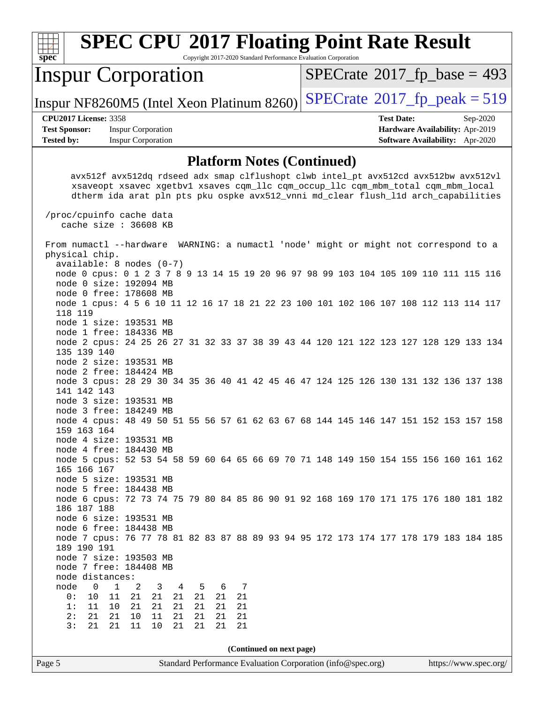| <b>SPEC CPU®2017 Floating Point Rate Result</b><br>Copyright 2017-2020 Standard Performance Evaluation Corporation<br>$Spec^*$                                                                                                                                                                                        |                                                                  |
|-----------------------------------------------------------------------------------------------------------------------------------------------------------------------------------------------------------------------------------------------------------------------------------------------------------------------|------------------------------------------------------------------|
| <b>Inspur Corporation</b>                                                                                                                                                                                                                                                                                             | $SPECrate^{\circ}2017_fp\_base = 493$                            |
| Inspur NF8260M5 (Intel Xeon Platinum 8260)                                                                                                                                                                                                                                                                            | $SPECTate@2017_fp\_peak = 519$                                   |
| <b>CPU2017 License: 3358</b><br><b>Inspur Corporation</b><br><b>Test Sponsor:</b>                                                                                                                                                                                                                                     | <b>Test Date:</b><br>Sep-2020<br>Hardware Availability: Apr-2019 |
| <b>Tested by:</b><br><b>Inspur Corporation</b>                                                                                                                                                                                                                                                                        | Software Availability: Apr-2020                                  |
| <b>Platform Notes (Continued)</b>                                                                                                                                                                                                                                                                                     |                                                                  |
| avx512f avx512dq rdseed adx smap clflushopt clwb intel_pt avx512cd avx512bw avx512vl<br>xsaveopt xsavec xgetbvl xsaves cqm_llc cqm_occup_llc cqm_mbm_total cqm_mbm_local<br>dtherm ida arat pln pts pku ospke avx512_vnni md_clear flush_lld arch_capabilities<br>/proc/cpuinfo cache data<br>cache size $: 36608$ KB |                                                                  |
| From numactl --hardware WARNING: a numactl 'node' might or might not correspond to a<br>physical chip.                                                                                                                                                                                                                |                                                                  |
| $available: 8 nodes (0-7)$<br>node 0 cpus: 0 1 2 3 7 8 9 13 14 15 19 20 96 97 98 99 103 104 105 109 110 111 115 116<br>node 0 size: 192094 MB<br>node 0 free: 178608 MB<br>node 1 cpus: 4 5 6 10 11 12 16 17 18 21 22 23 100 101 102 106 107 108 112 113 114 117                                                      |                                                                  |
| 118 119<br>node 1 size: 193531 MB<br>node 1 free: 184336 MB<br>node 2 cpus: 24 25 26 27 31 32 33 37 38 39 43 44 120 121 122 123 127 128 129 133 134<br>135 139 140                                                                                                                                                    |                                                                  |
| node 2 size: 193531 MB<br>node 2 free: 184424 MB<br>node 3 cpus: 28 29 30 34 35 36 40 41 42 45 46 47 124 125 126 130 131 132 136 137 138<br>141 142 143<br>node 3 size: 193531 MB                                                                                                                                     |                                                                  |
| node 3 free: 184249 MB<br>node 4 cpus: 48 49 50 51 55 56 57 61 62 63 67 68 144 145 146 147 151 152 153 157 158<br>159 163 164<br>node 4 size: 193531 MB                                                                                                                                                               |                                                                  |
| node 4 free: 184430 MB<br>node 5 cpus: 52 53 54 58 59 60 64 65 66 69 70 71 148 149 150 154 155 156 160 161 162<br>165 166 167<br>node 5 size: 193531 MB                                                                                                                                                               |                                                                  |
| node 5 free: 184438 MB<br>node 6 cpus: 72 73 74 75 79 80 84 85 86 90 91 92 168 169 170 171 175 176 180 181 182<br>186 187 188<br>node 6 size: 193531 MB                                                                                                                                                               |                                                                  |
| node 6 free: 184438 MB<br>node 7 cpus: 76 77 78 81 82 83 87 88 89 93 94 95 172 173 174 177 178 179 183 184 185<br>189 190 191<br>node 7 size: 193503 MB                                                                                                                                                               |                                                                  |
| node 7 free: 184408 MB<br>node distances:                                                                                                                                                                                                                                                                             |                                                                  |
| node<br>$\overline{0}$<br>$\mathbf{1}$<br>2<br>$-5$<br>6<br>3<br>4<br>- 7<br>21<br>0:<br>10<br>11<br>21<br>21<br>21<br>21<br>21                                                                                                                                                                                       |                                                                  |
| 1:<br>11<br>10<br>21<br>21<br>21<br>21<br>21<br>21<br>2:<br>21<br>21<br>10<br>11<br>21<br>21<br>21<br>21                                                                                                                                                                                                              |                                                                  |
| 3:<br>21<br>21<br>21<br>11<br>10<br>21<br>21<br>21                                                                                                                                                                                                                                                                    |                                                                  |
| (Continued on next page)                                                                                                                                                                                                                                                                                              |                                                                  |
| Page 5<br>Standard Performance Evaluation Corporation (info@spec.org)                                                                                                                                                                                                                                                 | https://www.spec.org/                                            |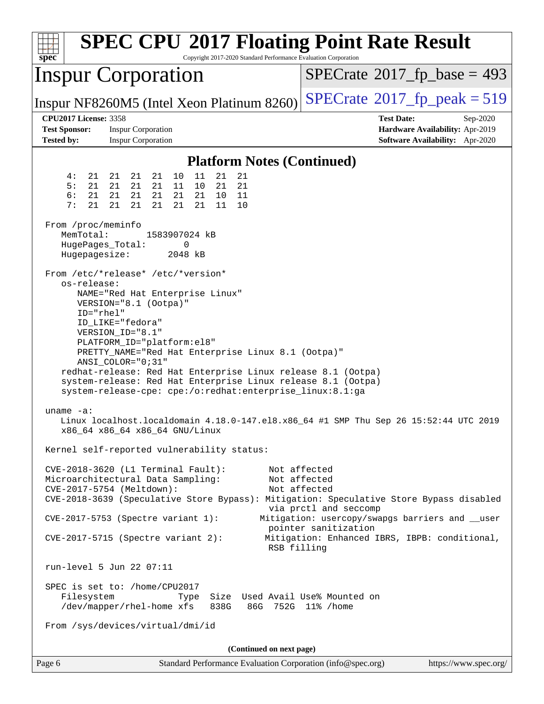| spec<br>$SPECrate^{\circ}2017$ _fp_base = 493<br><b>Inspur Corporation</b><br>$SPECTate@2017_fp\_peak = 519$<br>Inspur NF8260M5 (Intel Xeon Platinum 8260)<br><b>CPU2017 License: 3358</b><br><b>Test Date:</b><br>Sep-2020<br><b>Test Sponsor:</b><br><b>Inspur Corporation</b><br>Hardware Availability: Apr-2019<br>Software Availability: Apr-2020<br><b>Tested by:</b><br><b>Inspur Corporation</b><br><b>Platform Notes (Continued)</b><br>4:<br>10<br>11<br>21<br>21<br>21<br>21<br>21<br>21<br>5:<br>21<br>21<br>21<br>21<br>21<br>11<br>10<br>21<br>6:<br>21<br>21<br>21<br>21<br>21<br>21<br>10<br>11<br>7:<br>21<br>21<br>21<br>21<br>21<br>21<br>11<br>10 |
|-----------------------------------------------------------------------------------------------------------------------------------------------------------------------------------------------------------------------------------------------------------------------------------------------------------------------------------------------------------------------------------------------------------------------------------------------------------------------------------------------------------------------------------------------------------------------------------------------------------------------------------------------------------------------|
|                                                                                                                                                                                                                                                                                                                                                                                                                                                                                                                                                                                                                                                                       |
|                                                                                                                                                                                                                                                                                                                                                                                                                                                                                                                                                                                                                                                                       |
|                                                                                                                                                                                                                                                                                                                                                                                                                                                                                                                                                                                                                                                                       |
|                                                                                                                                                                                                                                                                                                                                                                                                                                                                                                                                                                                                                                                                       |
| From /proc/meminfo<br>MemTotal:<br>1583907024 kB                                                                                                                                                                                                                                                                                                                                                                                                                                                                                                                                                                                                                      |
| HugePages_Total:<br>0<br>Hugepagesize:<br>2048 kB                                                                                                                                                                                                                                                                                                                                                                                                                                                                                                                                                                                                                     |
| From /etc/*release* /etc/*version*<br>os-release:<br>NAME="Red Hat Enterprise Linux"<br>VERSION="8.1 (Ootpa)"<br>ID="rhel"<br>ID LIKE="fedora"<br>VERSION_ID="8.1"<br>PLATFORM_ID="platform:el8"<br>PRETTY_NAME="Red Hat Enterprise Linux 8.1 (Ootpa)"<br>ANSI_COLOR="0;31"<br>redhat-release: Red Hat Enterprise Linux release 8.1 (Ootpa)<br>system-release: Red Hat Enterprise Linux release 8.1 (Ootpa)<br>system-release-cpe: cpe:/o:redhat:enterprise_linux:8.1:ga                                                                                                                                                                                              |
| $uname -a:$<br>Linux localhost.localdomain 4.18.0-147.el8.x86_64 #1 SMP Thu Sep 26 15:52:44 UTC 2019<br>x86_64 x86_64 x86_64 GNU/Linux                                                                                                                                                                                                                                                                                                                                                                                                                                                                                                                                |
| Kernel self-reported vulnerability status:                                                                                                                                                                                                                                                                                                                                                                                                                                                                                                                                                                                                                            |
| $CVE-2018-3620$ (L1 Terminal Fault):<br>Not affected<br>Not affected<br>Microarchitectural Data Sampling:<br>CVE-2017-5754 (Meltdown):<br>Not affected<br>CVE-2018-3639 (Speculative Store Bypass): Mitigation: Speculative Store Bypass disabled<br>via prctl and seccomp                                                                                                                                                                                                                                                                                                                                                                                            |
| Mitigation: usercopy/swapgs barriers and __user<br>CVE-2017-5753 (Spectre variant 1):<br>pointer sanitization<br>$CVE-2017-5715$ (Spectre variant 2):<br>Mitigation: Enhanced IBRS, IBPB: conditional,                                                                                                                                                                                                                                                                                                                                                                                                                                                                |
| RSB filling<br>run-level 5 Jun 22 07:11                                                                                                                                                                                                                                                                                                                                                                                                                                                                                                                                                                                                                               |
| SPEC is set to: /home/CPU2017<br>Size Used Avail Use% Mounted on<br>Filesystem<br>Type<br>/dev/mapper/rhel-home xfs<br>838G<br>86G 752G 11% / home<br>From /sys/devices/virtual/dmi/id                                                                                                                                                                                                                                                                                                                                                                                                                                                                                |
|                                                                                                                                                                                                                                                                                                                                                                                                                                                                                                                                                                                                                                                                       |
| (Continued on next page)<br>Standard Performance Evaluation Corporation (info@spec.org)<br>https://www.spec.org/<br>Page 6                                                                                                                                                                                                                                                                                                                                                                                                                                                                                                                                            |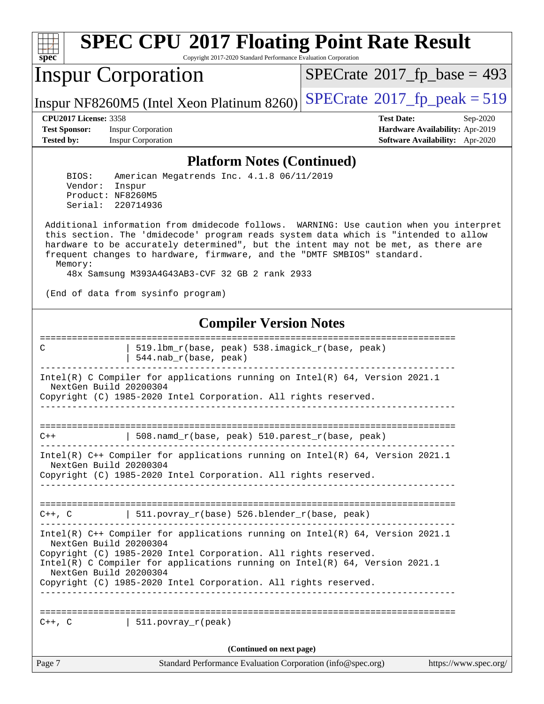

Copyright 2017-2020 Standard Performance Evaluation Corporation

## Inspur Corporation

 $SPECTate$ <sup>®</sup>[2017\\_fp\\_base =](http://www.spec.org/auto/cpu2017/Docs/result-fields.html#SPECrate2017fpbase) 493

Inspur NF8260M5 (Intel Xeon Platinum 8260) [SPECrate](http://www.spec.org/auto/cpu2017/Docs/result-fields.html#SPECrate2017fppeak)<sup>®</sup>[2017\\_fp\\_peak = 5](http://www.spec.org/auto/cpu2017/Docs/result-fields.html#SPECrate2017fppeak)19

**[Test Sponsor:](http://www.spec.org/auto/cpu2017/Docs/result-fields.html#TestSponsor)** Inspur Corporation **[Hardware Availability:](http://www.spec.org/auto/cpu2017/Docs/result-fields.html#HardwareAvailability)** Apr-2019 **[Tested by:](http://www.spec.org/auto/cpu2017/Docs/result-fields.html#Testedby)** Inspur Corporation **[Software Availability:](http://www.spec.org/auto/cpu2017/Docs/result-fields.html#SoftwareAvailability)** Apr-2020

**[CPU2017 License:](http://www.spec.org/auto/cpu2017/Docs/result-fields.html#CPU2017License)** 3358 **[Test Date:](http://www.spec.org/auto/cpu2017/Docs/result-fields.html#TestDate)** Sep-2020

#### **[Platform Notes \(Continued\)](http://www.spec.org/auto/cpu2017/Docs/result-fields.html#PlatformNotes)**

 BIOS: American Megatrends Inc. 4.1.8 06/11/2019 Vendor: Inspur Product: NF8260M5 Serial: 220714936

 Additional information from dmidecode follows. WARNING: Use caution when you interpret this section. The 'dmidecode' program reads system data which is "intended to allow hardware to be accurately determined", but the intent may not be met, as there are frequent changes to hardware, firmware, and the "DMTF SMBIOS" standard. Memory:

48x Samsung M393A4G43AB3-CVF 32 GB 2 rank 2933

(End of data from sysinfo program)

#### **[Compiler Version Notes](http://www.spec.org/auto/cpu2017/Docs/result-fields.html#CompilerVersionNotes)**

Page 7 Standard Performance Evaluation Corporation [\(info@spec.org\)](mailto:info@spec.org) <https://www.spec.org/> ============================================================================== C | 519.lbm\_r(base, peak) 538.imagick\_r(base, peak) | 544.nab\_r(base, peak) ------------------------------------------------------------------------------ Intel(R) C Compiler for applications running on Intel(R) 64, Version 2021.1 NextGen Build 20200304 Copyright (C) 1985-2020 Intel Corporation. All rights reserved. ------------------------------------------------------------------------------ ============================================================================== C++ | 508.namd\_r(base, peak) 510.parest\_r(base, peak) ------------------------------------------------------------------------------ Intel(R) C++ Compiler for applications running on Intel(R) 64, Version 2021.1 NextGen Build 20200304 Copyright (C) 1985-2020 Intel Corporation. All rights reserved. ------------------------------------------------------------------------------ ==============================================================================  $C++$ ,  $C$  | 511.povray\_r(base) 526.blender\_r(base, peak) ------------------------------------------------------------------------------ Intel(R) C++ Compiler for applications running on Intel(R) 64, Version 2021.1 NextGen Build 20200304 Copyright (C) 1985-2020 Intel Corporation. All rights reserved. Intel(R) C Compiler for applications running on Intel(R) 64, Version 2021.1 NextGen Build 20200304 Copyright (C) 1985-2020 Intel Corporation. All rights reserved. ------------------------------------------------------------------------------ ==============================================================================  $C_{++}$ , C  $|$  511. povray r(peak) **(Continued on next page)**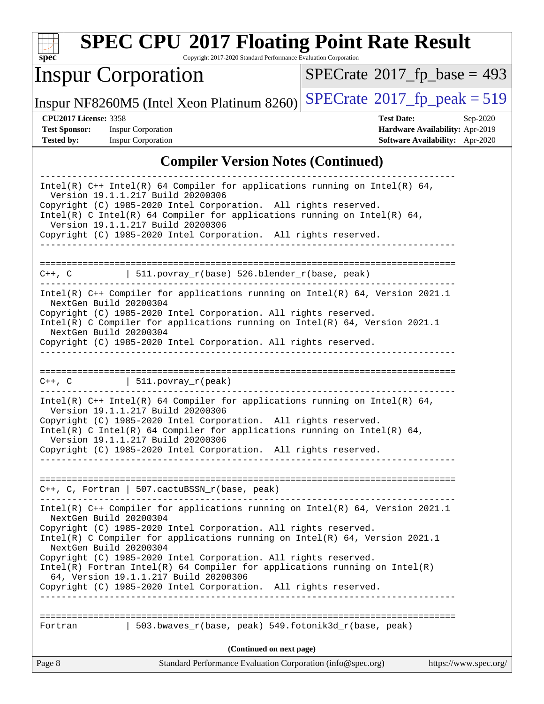

Copyright 2017-2020 Standard Performance Evaluation Corporation

# Inspur Corporation

 $SPECTate$ <sup>®</sup>[2017\\_fp\\_base =](http://www.spec.org/auto/cpu2017/Docs/result-fields.html#SPECrate2017fpbase) 493

Inspur NF8260M5 (Intel Xeon Platinum 8260) [SPECrate](http://www.spec.org/auto/cpu2017/Docs/result-fields.html#SPECrate2017fppeak)<sup>®</sup>[2017\\_fp\\_peak = 5](http://www.spec.org/auto/cpu2017/Docs/result-fields.html#SPECrate2017fppeak)19

**[Test Sponsor:](http://www.spec.org/auto/cpu2017/Docs/result-fields.html#TestSponsor)** Inspur Corporation **[Hardware Availability:](http://www.spec.org/auto/cpu2017/Docs/result-fields.html#HardwareAvailability)** Apr-2019

**[CPU2017 License:](http://www.spec.org/auto/cpu2017/Docs/result-fields.html#CPU2017License)** 3358 **[Test Date:](http://www.spec.org/auto/cpu2017/Docs/result-fields.html#TestDate)** Sep-2020 **[Tested by:](http://www.spec.org/auto/cpu2017/Docs/result-fields.html#Testedby)** Inspur Corporation **[Software Availability:](http://www.spec.org/auto/cpu2017/Docs/result-fields.html#SoftwareAvailability)** Apr-2020

#### **[Compiler Version Notes \(Continued\)](http://www.spec.org/auto/cpu2017/Docs/result-fields.html#CompilerVersionNotes)**

| 503.bwaves_r(base, peak) 549.fotonik3d_r(base, peak)<br>Fortran<br>(Continued on next page)                                                                                                                                                                                                           |  |
|-------------------------------------------------------------------------------------------------------------------------------------------------------------------------------------------------------------------------------------------------------------------------------------------------------|--|
|                                                                                                                                                                                                                                                                                                       |  |
|                                                                                                                                                                                                                                                                                                       |  |
| 64, Version 19.1.1.217 Build 20200306<br>Copyright (C) 1985-2020 Intel Corporation. All rights reserved.                                                                                                                                                                                              |  |
| Copyright (C) 1985-2020 Intel Corporation. All rights reserved.<br>$Intel(R)$ Fortran Intel(R) 64 Compiler for applications running on $Intel(R)$                                                                                                                                                     |  |
| Intel(R) C Compiler for applications running on Intel(R) $64$ , Version 2021.1<br>NextGen Build 20200304                                                                                                                                                                                              |  |
| Intel(R) $C++$ Compiler for applications running on Intel(R) 64, Version 2021.1<br>NextGen Build 20200304<br>Copyright (C) 1985-2020 Intel Corporation. All rights reserved.                                                                                                                          |  |
| $C++$ , C, Fortran   507.cactuBSSN_r(base, peak)                                                                                                                                                                                                                                                      |  |
| Copyright (C) 1985-2020 Intel Corporation. All rights reserved.                                                                                                                                                                                                                                       |  |
| Intel(R) $C++$ Intel(R) 64 Compiler for applications running on Intel(R) 64,<br>Version 19.1.1.217 Build 20200306<br>Copyright (C) 1985-2020 Intel Corporation. All rights reserved.<br>Intel(R) C Intel(R) 64 Compiler for applications running on Intel(R) 64,<br>Version 19.1.1.217 Build 20200306 |  |
| $C++$ , C   511.povray_r(peak)                                                                                                                                                                                                                                                                        |  |
|                                                                                                                                                                                                                                                                                                       |  |
| NextGen Build 20200304<br>Copyright (C) 1985-2020 Intel Corporation. All rights reserved.                                                                                                                                                                                                             |  |
| Copyright (C) 1985-2020 Intel Corporation. All rights reserved.<br>Intel(R) C Compiler for applications running on Intel(R) $64$ , Version 2021.1                                                                                                                                                     |  |
| Intel(R) C++ Compiler for applications running on Intel(R) 64, Version 2021.1<br>NextGen Build 20200304                                                                                                                                                                                               |  |
| $C++$ , C $\qquad$   511.povray_r(base) 526.blender_r(base, peak)                                                                                                                                                                                                                                     |  |
| Copyright (C) 1985-2020 Intel Corporation. All rights reserved.                                                                                                                                                                                                                                       |  |
| Copyright (C) 1985-2020 Intel Corporation. All rights reserved.<br>Intel(R) C Intel(R) 64 Compiler for applications running on Intel(R) 64,<br>Version 19.1.1.217 Build 20200306                                                                                                                      |  |
| Intel(R) $C++$ Intel(R) 64 Compiler for applications running on Intel(R) 64,<br>Version 19.1.1.217 Build 20200306                                                                                                                                                                                     |  |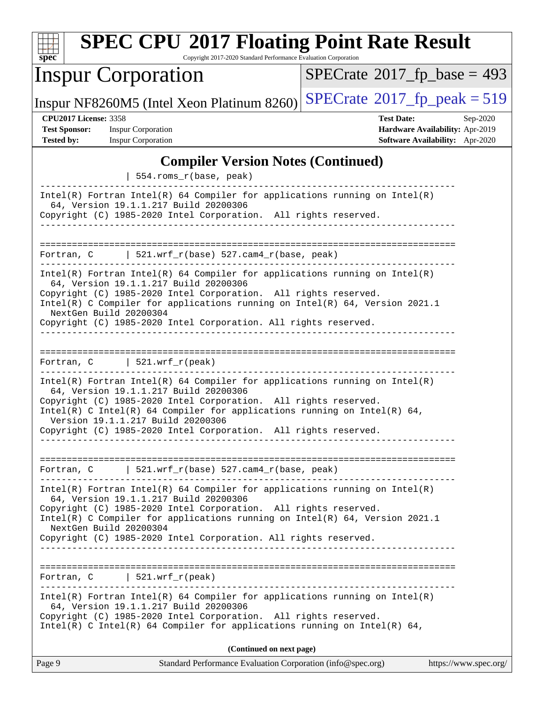| <b>SPEC CPU®2017 Floating Point Rate Result</b><br>spec<br>Copyright 2017-2020 Standard Performance Evaluation Corporation |                                            |                                            |          |  |  |
|----------------------------------------------------------------------------------------------------------------------------|--------------------------------------------|--------------------------------------------|----------|--|--|
|                                                                                                                            | <b>Inspur Corporation</b>                  | $SPECrate^{\circledast}2017$ _fp_base = 49 |          |  |  |
|                                                                                                                            | Inspur NF8260M5 (Intel Xeon Platinum 8260) | $SPECTate$ <sup>®</sup> 2017_fp_peak = 51  |          |  |  |
| <b>CPU2017 License: 3358</b>                                                                                               |                                            | <b>Test Date:</b>                          | Sep-2020 |  |  |
| <b>Test Sponsor:</b>                                                                                                       | <b>Inspur Corporation</b>                  | Hardware Availability: Apr-2019            |          |  |  |
| <b>Tested by:</b>                                                                                                          | <b>Inspur Corporation</b>                  | Software Availability: Apr-2020            |          |  |  |
|                                                                                                                            | <b>Compiler Version Notes (Continued)</b>  |                                            |          |  |  |

# **Floating Point Rate Result**

 $SPECTate@2017_fp\_base = 493$ 

**[Hardware Availability:](http://www.spec.org/auto/cpu2017/Docs/result-fields.html#HardwareAvailability)** Apr-2019 **[Software Availability:](http://www.spec.org/auto/cpu2017/Docs/result-fields.html#SoftwareAvailability)** Apr-2020 **Combine Version Notes (Continued)** 

|                                | 554.roms_r(base, peak)                                                                                                                                                                                                                                                                                                                                                       |                       |
|--------------------------------|------------------------------------------------------------------------------------------------------------------------------------------------------------------------------------------------------------------------------------------------------------------------------------------------------------------------------------------------------------------------------|-----------------------|
|                                | $Intel(R)$ Fortran Intel(R) 64 Compiler for applications running on Intel(R)<br>64, Version 19.1.1.217 Build 20200306<br>Copyright (C) 1985-2020 Intel Corporation. All rights reserved.<br>____________________________________                                                                                                                                             |                       |
|                                |                                                                                                                                                                                                                                                                                                                                                                              |                       |
|                                | Fortran, $C$   521.wrf_r(base) 527.cam4_r(base, peak)<br>__________________________________<br>__________________________                                                                                                                                                                                                                                                    |                       |
| NextGen Build 20200304         | $Intel(R)$ Fortran Intel(R) 64 Compiler for applications running on Intel(R)<br>64, Version 19.1.1.217 Build 20200306<br>Copyright (C) 1985-2020 Intel Corporation. All rights reserved.<br>Intel(R) C Compiler for applications running on $Intel(R) 64$ , Version 2021.1<br>Copyright (C) 1985-2020 Intel Corporation. All rights reserved.                                |                       |
|                                | Fortran, $C$   521.wrf_r(peak)                                                                                                                                                                                                                                                                                                                                               |                       |
|                                | $Intel(R)$ Fortran Intel(R) 64 Compiler for applications running on Intel(R)<br>64, Version 19.1.1.217 Build 20200306<br>Copyright (C) 1985-2020 Intel Corporation. All rights reserved.<br>Intel(R) C Intel(R) 64 Compiler for applications running on Intel(R) 64,<br>Version 19.1.1.217 Build 20200306<br>Copyright (C) 1985-2020 Intel Corporation. All rights reserved. |                       |
|                                | Fortran, $C$   521.wrf_r(base) 527.cam4_r(base, peak)                                                                                                                                                                                                                                                                                                                        |                       |
| NextGen Build 20200304         | $Intel(R)$ Fortran Intel(R) 64 Compiler for applications running on Intel(R)<br>64, Version 19.1.1.217 Build 20200306<br>Copyright (C) 1985-2020 Intel Corporation. All rights reserved.<br>Intel(R) C Compiler for applications running on Intel(R) 64, Version 2021.1<br>Copyright (C) 1985-2020 Intel Corporation. All rights reserved.                                   |                       |
| Fortran, $C$   521.wrf_r(peak) |                                                                                                                                                                                                                                                                                                                                                                              |                       |
|                                | $Intel(R)$ Fortran Intel(R) 64 Compiler for applications running on Intel(R)<br>64, Version 19.1.1.217 Build 20200306<br>Copyright (C) 1985-2020 Intel Corporation. All rights reserved.<br>Intel(R) C Intel(R) 64 Compiler for applications running on Intel(R) 64,                                                                                                         |                       |
|                                | (Continued on next page)                                                                                                                                                                                                                                                                                                                                                     |                       |
| Page 9                         | Standard Performance Evaluation Corporation (info@spec.org)                                                                                                                                                                                                                                                                                                                  | https://www.spec.org/ |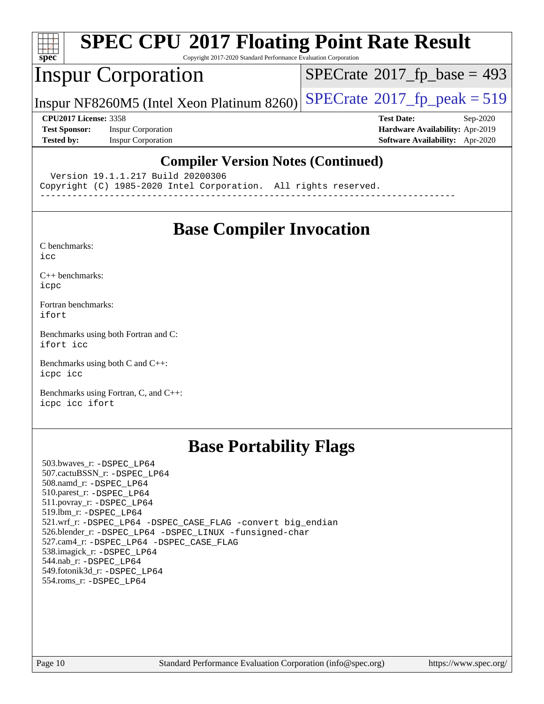

Copyright 2017-2020 Standard Performance Evaluation Corporation

### Inspur Corporation

 $SPECTate$ <sup>®</sup>[2017\\_fp\\_base =](http://www.spec.org/auto/cpu2017/Docs/result-fields.html#SPECrate2017fpbase) 493

Inspur NF8260M5 (Intel Xeon Platinum 8260) [SPECrate](http://www.spec.org/auto/cpu2017/Docs/result-fields.html#SPECrate2017fppeak)®2017\_fp\_peak =  $519$ 

**[Test Sponsor:](http://www.spec.org/auto/cpu2017/Docs/result-fields.html#TestSponsor)** Inspur Corporation **[Hardware Availability:](http://www.spec.org/auto/cpu2017/Docs/result-fields.html#HardwareAvailability)** Apr-2019 **[Tested by:](http://www.spec.org/auto/cpu2017/Docs/result-fields.html#Testedby)** Inspur Corporation **[Software Availability:](http://www.spec.org/auto/cpu2017/Docs/result-fields.html#SoftwareAvailability)** Apr-2020

**[CPU2017 License:](http://www.spec.org/auto/cpu2017/Docs/result-fields.html#CPU2017License)** 3358 **[Test Date:](http://www.spec.org/auto/cpu2017/Docs/result-fields.html#TestDate)** Sep-2020

#### **[Compiler Version Notes \(Continued\)](http://www.spec.org/auto/cpu2017/Docs/result-fields.html#CompilerVersionNotes)**

Version 19.1.1.217 Build 20200306

Copyright (C) 1985-2020 Intel Corporation. All rights reserved.

------------------------------------------------------------------------------

### **[Base Compiler Invocation](http://www.spec.org/auto/cpu2017/Docs/result-fields.html#BaseCompilerInvocation)**

[C benchmarks](http://www.spec.org/auto/cpu2017/Docs/result-fields.html#Cbenchmarks):

[icc](http://www.spec.org/cpu2017/results/res2020q4/cpu2017-20200928-24044.flags.html#user_CCbase_intel_icc_66fc1ee009f7361af1fbd72ca7dcefbb700085f36577c54f309893dd4ec40d12360134090235512931783d35fd58c0460139e722d5067c5574d8eaf2b3e37e92)

[C++ benchmarks:](http://www.spec.org/auto/cpu2017/Docs/result-fields.html#CXXbenchmarks) [icpc](http://www.spec.org/cpu2017/results/res2020q4/cpu2017-20200928-24044.flags.html#user_CXXbase_intel_icpc_c510b6838c7f56d33e37e94d029a35b4a7bccf4766a728ee175e80a419847e808290a9b78be685c44ab727ea267ec2f070ec5dc83b407c0218cded6866a35d07)

[Fortran benchmarks](http://www.spec.org/auto/cpu2017/Docs/result-fields.html#Fortranbenchmarks): [ifort](http://www.spec.org/cpu2017/results/res2020q4/cpu2017-20200928-24044.flags.html#user_FCbase_intel_ifort_8111460550e3ca792625aed983ce982f94888b8b503583aa7ba2b8303487b4d8a21a13e7191a45c5fd58ff318f48f9492884d4413fa793fd88dd292cad7027ca)

[Benchmarks using both Fortran and C](http://www.spec.org/auto/cpu2017/Docs/result-fields.html#BenchmarksusingbothFortranandC): [ifort](http://www.spec.org/cpu2017/results/res2020q4/cpu2017-20200928-24044.flags.html#user_CC_FCbase_intel_ifort_8111460550e3ca792625aed983ce982f94888b8b503583aa7ba2b8303487b4d8a21a13e7191a45c5fd58ff318f48f9492884d4413fa793fd88dd292cad7027ca) [icc](http://www.spec.org/cpu2017/results/res2020q4/cpu2017-20200928-24044.flags.html#user_CC_FCbase_intel_icc_66fc1ee009f7361af1fbd72ca7dcefbb700085f36577c54f309893dd4ec40d12360134090235512931783d35fd58c0460139e722d5067c5574d8eaf2b3e37e92)

[Benchmarks using both C and C++](http://www.spec.org/auto/cpu2017/Docs/result-fields.html#BenchmarksusingbothCandCXX): [icpc](http://www.spec.org/cpu2017/results/res2020q4/cpu2017-20200928-24044.flags.html#user_CC_CXXbase_intel_icpc_c510b6838c7f56d33e37e94d029a35b4a7bccf4766a728ee175e80a419847e808290a9b78be685c44ab727ea267ec2f070ec5dc83b407c0218cded6866a35d07) [icc](http://www.spec.org/cpu2017/results/res2020q4/cpu2017-20200928-24044.flags.html#user_CC_CXXbase_intel_icc_66fc1ee009f7361af1fbd72ca7dcefbb700085f36577c54f309893dd4ec40d12360134090235512931783d35fd58c0460139e722d5067c5574d8eaf2b3e37e92)

[Benchmarks using Fortran, C, and C++:](http://www.spec.org/auto/cpu2017/Docs/result-fields.html#BenchmarksusingFortranCandCXX) [icpc](http://www.spec.org/cpu2017/results/res2020q4/cpu2017-20200928-24044.flags.html#user_CC_CXX_FCbase_intel_icpc_c510b6838c7f56d33e37e94d029a35b4a7bccf4766a728ee175e80a419847e808290a9b78be685c44ab727ea267ec2f070ec5dc83b407c0218cded6866a35d07) [icc](http://www.spec.org/cpu2017/results/res2020q4/cpu2017-20200928-24044.flags.html#user_CC_CXX_FCbase_intel_icc_66fc1ee009f7361af1fbd72ca7dcefbb700085f36577c54f309893dd4ec40d12360134090235512931783d35fd58c0460139e722d5067c5574d8eaf2b3e37e92) [ifort](http://www.spec.org/cpu2017/results/res2020q4/cpu2017-20200928-24044.flags.html#user_CC_CXX_FCbase_intel_ifort_8111460550e3ca792625aed983ce982f94888b8b503583aa7ba2b8303487b4d8a21a13e7191a45c5fd58ff318f48f9492884d4413fa793fd88dd292cad7027ca)

## **[Base Portability Flags](http://www.spec.org/auto/cpu2017/Docs/result-fields.html#BasePortabilityFlags)**

 503.bwaves\_r: [-DSPEC\\_LP64](http://www.spec.org/cpu2017/results/res2020q4/cpu2017-20200928-24044.flags.html#suite_basePORTABILITY503_bwaves_r_DSPEC_LP64) 507.cactuBSSN\_r: [-DSPEC\\_LP64](http://www.spec.org/cpu2017/results/res2020q4/cpu2017-20200928-24044.flags.html#suite_basePORTABILITY507_cactuBSSN_r_DSPEC_LP64) 508.namd\_r: [-DSPEC\\_LP64](http://www.spec.org/cpu2017/results/res2020q4/cpu2017-20200928-24044.flags.html#suite_basePORTABILITY508_namd_r_DSPEC_LP64) 510.parest\_r: [-DSPEC\\_LP64](http://www.spec.org/cpu2017/results/res2020q4/cpu2017-20200928-24044.flags.html#suite_basePORTABILITY510_parest_r_DSPEC_LP64) 511.povray\_r: [-DSPEC\\_LP64](http://www.spec.org/cpu2017/results/res2020q4/cpu2017-20200928-24044.flags.html#suite_basePORTABILITY511_povray_r_DSPEC_LP64) 519.lbm\_r: [-DSPEC\\_LP64](http://www.spec.org/cpu2017/results/res2020q4/cpu2017-20200928-24044.flags.html#suite_basePORTABILITY519_lbm_r_DSPEC_LP64) 521.wrf\_r: [-DSPEC\\_LP64](http://www.spec.org/cpu2017/results/res2020q4/cpu2017-20200928-24044.flags.html#suite_basePORTABILITY521_wrf_r_DSPEC_LP64) [-DSPEC\\_CASE\\_FLAG](http://www.spec.org/cpu2017/results/res2020q4/cpu2017-20200928-24044.flags.html#b521.wrf_r_baseCPORTABILITY_DSPEC_CASE_FLAG) [-convert big\\_endian](http://www.spec.org/cpu2017/results/res2020q4/cpu2017-20200928-24044.flags.html#user_baseFPORTABILITY521_wrf_r_convert_big_endian_c3194028bc08c63ac5d04de18c48ce6d347e4e562e8892b8bdbdc0214820426deb8554edfa529a3fb25a586e65a3d812c835984020483e7e73212c4d31a38223) 526.blender\_r: [-DSPEC\\_LP64](http://www.spec.org/cpu2017/results/res2020q4/cpu2017-20200928-24044.flags.html#suite_basePORTABILITY526_blender_r_DSPEC_LP64) [-DSPEC\\_LINUX](http://www.spec.org/cpu2017/results/res2020q4/cpu2017-20200928-24044.flags.html#b526.blender_r_baseCPORTABILITY_DSPEC_LINUX) [-funsigned-char](http://www.spec.org/cpu2017/results/res2020q4/cpu2017-20200928-24044.flags.html#user_baseCPORTABILITY526_blender_r_force_uchar_40c60f00ab013830e2dd6774aeded3ff59883ba5a1fc5fc14077f794d777847726e2a5858cbc7672e36e1b067e7e5c1d9a74f7176df07886a243d7cc18edfe67) 527.cam4\_r: [-DSPEC\\_LP64](http://www.spec.org/cpu2017/results/res2020q4/cpu2017-20200928-24044.flags.html#suite_basePORTABILITY527_cam4_r_DSPEC_LP64) [-DSPEC\\_CASE\\_FLAG](http://www.spec.org/cpu2017/results/res2020q4/cpu2017-20200928-24044.flags.html#b527.cam4_r_baseCPORTABILITY_DSPEC_CASE_FLAG) 538.imagick\_r: [-DSPEC\\_LP64](http://www.spec.org/cpu2017/results/res2020q4/cpu2017-20200928-24044.flags.html#suite_basePORTABILITY538_imagick_r_DSPEC_LP64) 544.nab\_r: [-DSPEC\\_LP64](http://www.spec.org/cpu2017/results/res2020q4/cpu2017-20200928-24044.flags.html#suite_basePORTABILITY544_nab_r_DSPEC_LP64) 549.fotonik3d\_r: [-DSPEC\\_LP64](http://www.spec.org/cpu2017/results/res2020q4/cpu2017-20200928-24044.flags.html#suite_basePORTABILITY549_fotonik3d_r_DSPEC_LP64) 554.roms\_r: [-DSPEC\\_LP64](http://www.spec.org/cpu2017/results/res2020q4/cpu2017-20200928-24044.flags.html#suite_basePORTABILITY554_roms_r_DSPEC_LP64)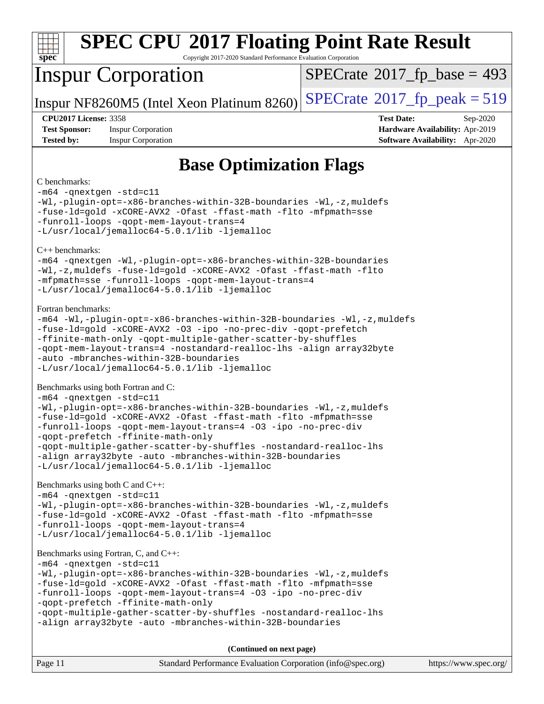| S<br>оe |  |  |  |  |  |  |
|---------|--|--|--|--|--|--|

Copyright 2017-2020 Standard Performance Evaluation Corporation

## Inspur Corporation

 $SPECTate$ <sup>®</sup>[2017\\_fp\\_base =](http://www.spec.org/auto/cpu2017/Docs/result-fields.html#SPECrate2017fpbase) 493

Inspur NF8260M5 (Intel Xeon Platinum 8260) [SPECrate](http://www.spec.org/auto/cpu2017/Docs/result-fields.html#SPECrate2017fppeak)<sup>®</sup>[2017\\_fp\\_peak = 5](http://www.spec.org/auto/cpu2017/Docs/result-fields.html#SPECrate2017fppeak)19

**[Test Sponsor:](http://www.spec.org/auto/cpu2017/Docs/result-fields.html#TestSponsor)** Inspur Corporation **[Hardware Availability:](http://www.spec.org/auto/cpu2017/Docs/result-fields.html#HardwareAvailability)** Apr-2019 **[Tested by:](http://www.spec.org/auto/cpu2017/Docs/result-fields.html#Testedby)** Inspur Corporation **[Software Availability:](http://www.spec.org/auto/cpu2017/Docs/result-fields.html#SoftwareAvailability)** Apr-2020

**[CPU2017 License:](http://www.spec.org/auto/cpu2017/Docs/result-fields.html#CPU2017License)** 3358 **[Test Date:](http://www.spec.org/auto/cpu2017/Docs/result-fields.html#TestDate)** Sep-2020

### **[Base Optimization Flags](http://www.spec.org/auto/cpu2017/Docs/result-fields.html#BaseOptimizationFlags)**

#### [C benchmarks](http://www.spec.org/auto/cpu2017/Docs/result-fields.html#Cbenchmarks):

[-m64](http://www.spec.org/cpu2017/results/res2020q4/cpu2017-20200928-24044.flags.html#user_CCbase_m64-icc) [-qnextgen](http://www.spec.org/cpu2017/results/res2020q4/cpu2017-20200928-24044.flags.html#user_CCbase_f-qnextgen) [-std=c11](http://www.spec.org/cpu2017/results/res2020q4/cpu2017-20200928-24044.flags.html#user_CCbase_std-icc-std_0e1c27790398a4642dfca32ffe6c27b5796f9c2d2676156f2e42c9c44eaad0c049b1cdb667a270c34d979996257aeb8fc440bfb01818dbc9357bd9d174cb8524) [-Wl,-plugin-opt=-x86-branches-within-32B-boundaries](http://www.spec.org/cpu2017/results/res2020q4/cpu2017-20200928-24044.flags.html#user_CCbase_f-x86-branches-within-32B-boundaries_0098b4e4317ae60947b7b728078a624952a08ac37a3c797dfb4ffeb399e0c61a9dd0f2f44ce917e9361fb9076ccb15e7824594512dd315205382d84209e912f3) [-Wl,-z,muldefs](http://www.spec.org/cpu2017/results/res2020q4/cpu2017-20200928-24044.flags.html#user_CCbase_link_force_multiple1_b4cbdb97b34bdee9ceefcfe54f4c8ea74255f0b02a4b23e853cdb0e18eb4525ac79b5a88067c842dd0ee6996c24547a27a4b99331201badda8798ef8a743f577) [-fuse-ld=gold](http://www.spec.org/cpu2017/results/res2020q4/cpu2017-20200928-24044.flags.html#user_CCbase_f-fuse-ld_920b3586e2b8c6e0748b9c84fa9b744736ba725a32cab14ad8f3d4ad28eecb2f59d1144823d2e17006539a88734fe1fc08fc3035f7676166309105a78aaabc32) [-xCORE-AVX2](http://www.spec.org/cpu2017/results/res2020q4/cpu2017-20200928-24044.flags.html#user_CCbase_f-xCORE-AVX2) [-Ofast](http://www.spec.org/cpu2017/results/res2020q4/cpu2017-20200928-24044.flags.html#user_CCbase_f-Ofast) [-ffast-math](http://www.spec.org/cpu2017/results/res2020q4/cpu2017-20200928-24044.flags.html#user_CCbase_f-ffast-math) [-flto](http://www.spec.org/cpu2017/results/res2020q4/cpu2017-20200928-24044.flags.html#user_CCbase_f-flto) [-mfpmath=sse](http://www.spec.org/cpu2017/results/res2020q4/cpu2017-20200928-24044.flags.html#user_CCbase_f-mfpmath_70eb8fac26bde974f8ab713bc9086c5621c0b8d2f6c86f38af0bd7062540daf19db5f3a066d8c6684be05d84c9b6322eb3b5be6619d967835195b93d6c02afa1) [-funroll-loops](http://www.spec.org/cpu2017/results/res2020q4/cpu2017-20200928-24044.flags.html#user_CCbase_f-funroll-loops) [-qopt-mem-layout-trans=4](http://www.spec.org/cpu2017/results/res2020q4/cpu2017-20200928-24044.flags.html#user_CCbase_f-qopt-mem-layout-trans_fa39e755916c150a61361b7846f310bcdf6f04e385ef281cadf3647acec3f0ae266d1a1d22d972a7087a248fd4e6ca390a3634700869573d231a252c784941a8) [-L/usr/local/jemalloc64-5.0.1/lib](http://www.spec.org/cpu2017/results/res2020q4/cpu2017-20200928-24044.flags.html#user_CCbase_jemalloc_link_path64_1_cc289568b1a6c0fd3b62c91b824c27fcb5af5e8098e6ad028160d21144ef1b8aef3170d2acf0bee98a8da324cfe4f67d0a3d0c4cc4673d993d694dc2a0df248b) [-ljemalloc](http://www.spec.org/cpu2017/results/res2020q4/cpu2017-20200928-24044.flags.html#user_CCbase_jemalloc_link_lib_d1249b907c500fa1c0672f44f562e3d0f79738ae9e3c4a9c376d49f265a04b9c99b167ecedbf6711b3085be911c67ff61f150a17b3472be731631ba4d0471706) [C++ benchmarks](http://www.spec.org/auto/cpu2017/Docs/result-fields.html#CXXbenchmarks): [-m64](http://www.spec.org/cpu2017/results/res2020q4/cpu2017-20200928-24044.flags.html#user_CXXbase_m64-icc) [-qnextgen](http://www.spec.org/cpu2017/results/res2020q4/cpu2017-20200928-24044.flags.html#user_CXXbase_f-qnextgen) [-Wl,-plugin-opt=-x86-branches-within-32B-boundaries](http://www.spec.org/cpu2017/results/res2020q4/cpu2017-20200928-24044.flags.html#user_CXXbase_f-x86-branches-within-32B-boundaries_0098b4e4317ae60947b7b728078a624952a08ac37a3c797dfb4ffeb399e0c61a9dd0f2f44ce917e9361fb9076ccb15e7824594512dd315205382d84209e912f3) [-Wl,-z,muldefs](http://www.spec.org/cpu2017/results/res2020q4/cpu2017-20200928-24044.flags.html#user_CXXbase_link_force_multiple1_b4cbdb97b34bdee9ceefcfe54f4c8ea74255f0b02a4b23e853cdb0e18eb4525ac79b5a88067c842dd0ee6996c24547a27a4b99331201badda8798ef8a743f577) [-fuse-ld=gold](http://www.spec.org/cpu2017/results/res2020q4/cpu2017-20200928-24044.flags.html#user_CXXbase_f-fuse-ld_920b3586e2b8c6e0748b9c84fa9b744736ba725a32cab14ad8f3d4ad28eecb2f59d1144823d2e17006539a88734fe1fc08fc3035f7676166309105a78aaabc32) [-xCORE-AVX2](http://www.spec.org/cpu2017/results/res2020q4/cpu2017-20200928-24044.flags.html#user_CXXbase_f-xCORE-AVX2) [-Ofast](http://www.spec.org/cpu2017/results/res2020q4/cpu2017-20200928-24044.flags.html#user_CXXbase_f-Ofast) [-ffast-math](http://www.spec.org/cpu2017/results/res2020q4/cpu2017-20200928-24044.flags.html#user_CXXbase_f-ffast-math) [-flto](http://www.spec.org/cpu2017/results/res2020q4/cpu2017-20200928-24044.flags.html#user_CXXbase_f-flto) [-mfpmath=sse](http://www.spec.org/cpu2017/results/res2020q4/cpu2017-20200928-24044.flags.html#user_CXXbase_f-mfpmath_70eb8fac26bde974f8ab713bc9086c5621c0b8d2f6c86f38af0bd7062540daf19db5f3a066d8c6684be05d84c9b6322eb3b5be6619d967835195b93d6c02afa1) [-funroll-loops](http://www.spec.org/cpu2017/results/res2020q4/cpu2017-20200928-24044.flags.html#user_CXXbase_f-funroll-loops) [-qopt-mem-layout-trans=4](http://www.spec.org/cpu2017/results/res2020q4/cpu2017-20200928-24044.flags.html#user_CXXbase_f-qopt-mem-layout-trans_fa39e755916c150a61361b7846f310bcdf6f04e385ef281cadf3647acec3f0ae266d1a1d22d972a7087a248fd4e6ca390a3634700869573d231a252c784941a8) [-L/usr/local/jemalloc64-5.0.1/lib](http://www.spec.org/cpu2017/results/res2020q4/cpu2017-20200928-24044.flags.html#user_CXXbase_jemalloc_link_path64_1_cc289568b1a6c0fd3b62c91b824c27fcb5af5e8098e6ad028160d21144ef1b8aef3170d2acf0bee98a8da324cfe4f67d0a3d0c4cc4673d993d694dc2a0df248b) [-ljemalloc](http://www.spec.org/cpu2017/results/res2020q4/cpu2017-20200928-24044.flags.html#user_CXXbase_jemalloc_link_lib_d1249b907c500fa1c0672f44f562e3d0f79738ae9e3c4a9c376d49f265a04b9c99b167ecedbf6711b3085be911c67ff61f150a17b3472be731631ba4d0471706) [Fortran benchmarks:](http://www.spec.org/auto/cpu2017/Docs/result-fields.html#Fortranbenchmarks) [-m64](http://www.spec.org/cpu2017/results/res2020q4/cpu2017-20200928-24044.flags.html#user_FCbase_m64-icc) [-Wl,-plugin-opt=-x86-branches-within-32B-boundaries](http://www.spec.org/cpu2017/results/res2020q4/cpu2017-20200928-24044.flags.html#user_FCbase_f-x86-branches-within-32B-boundaries_0098b4e4317ae60947b7b728078a624952a08ac37a3c797dfb4ffeb399e0c61a9dd0f2f44ce917e9361fb9076ccb15e7824594512dd315205382d84209e912f3) [-Wl,-z,muldefs](http://www.spec.org/cpu2017/results/res2020q4/cpu2017-20200928-24044.flags.html#user_FCbase_link_force_multiple1_b4cbdb97b34bdee9ceefcfe54f4c8ea74255f0b02a4b23e853cdb0e18eb4525ac79b5a88067c842dd0ee6996c24547a27a4b99331201badda8798ef8a743f577) [-fuse-ld=gold](http://www.spec.org/cpu2017/results/res2020q4/cpu2017-20200928-24044.flags.html#user_FCbase_f-fuse-ld_920b3586e2b8c6e0748b9c84fa9b744736ba725a32cab14ad8f3d4ad28eecb2f59d1144823d2e17006539a88734fe1fc08fc3035f7676166309105a78aaabc32) [-xCORE-AVX2](http://www.spec.org/cpu2017/results/res2020q4/cpu2017-20200928-24044.flags.html#user_FCbase_f-xCORE-AVX2) [-O3](http://www.spec.org/cpu2017/results/res2020q4/cpu2017-20200928-24044.flags.html#user_FCbase_f-O3) [-ipo](http://www.spec.org/cpu2017/results/res2020q4/cpu2017-20200928-24044.flags.html#user_FCbase_f-ipo) [-no-prec-div](http://www.spec.org/cpu2017/results/res2020q4/cpu2017-20200928-24044.flags.html#user_FCbase_f-no-prec-div) [-qopt-prefetch](http://www.spec.org/cpu2017/results/res2020q4/cpu2017-20200928-24044.flags.html#user_FCbase_f-qopt-prefetch) [-ffinite-math-only](http://www.spec.org/cpu2017/results/res2020q4/cpu2017-20200928-24044.flags.html#user_FCbase_f_finite_math_only_cb91587bd2077682c4b38af759c288ed7c732db004271a9512da14a4f8007909a5f1427ecbf1a0fb78ff2a814402c6114ac565ca162485bbcae155b5e4258871) [-qopt-multiple-gather-scatter-by-shuffles](http://www.spec.org/cpu2017/results/res2020q4/cpu2017-20200928-24044.flags.html#user_FCbase_f-qopt-multiple-gather-scatter-by-shuffles) [-qopt-mem-layout-trans=4](http://www.spec.org/cpu2017/results/res2020q4/cpu2017-20200928-24044.flags.html#user_FCbase_f-qopt-mem-layout-trans_fa39e755916c150a61361b7846f310bcdf6f04e385ef281cadf3647acec3f0ae266d1a1d22d972a7087a248fd4e6ca390a3634700869573d231a252c784941a8) [-nostandard-realloc-lhs](http://www.spec.org/cpu2017/results/res2020q4/cpu2017-20200928-24044.flags.html#user_FCbase_f_2003_std_realloc_82b4557e90729c0f113870c07e44d33d6f5a304b4f63d4c15d2d0f1fab99f5daaed73bdb9275d9ae411527f28b936061aa8b9c8f2d63842963b95c9dd6426b8a) [-align array32byte](http://www.spec.org/cpu2017/results/res2020q4/cpu2017-20200928-24044.flags.html#user_FCbase_align_array32byte_b982fe038af199962ba9a80c053b8342c548c85b40b8e86eb3cc33dee0d7986a4af373ac2d51c3f7cf710a18d62fdce2948f201cd044323541f22fc0fffc51b6) [-auto](http://www.spec.org/cpu2017/results/res2020q4/cpu2017-20200928-24044.flags.html#user_FCbase_f-auto) [-mbranches-within-32B-boundaries](http://www.spec.org/cpu2017/results/res2020q4/cpu2017-20200928-24044.flags.html#user_FCbase_f-mbranches-within-32B-boundaries) [-L/usr/local/jemalloc64-5.0.1/lib](http://www.spec.org/cpu2017/results/res2020q4/cpu2017-20200928-24044.flags.html#user_FCbase_jemalloc_link_path64_1_cc289568b1a6c0fd3b62c91b824c27fcb5af5e8098e6ad028160d21144ef1b8aef3170d2acf0bee98a8da324cfe4f67d0a3d0c4cc4673d993d694dc2a0df248b) [-ljemalloc](http://www.spec.org/cpu2017/results/res2020q4/cpu2017-20200928-24044.flags.html#user_FCbase_jemalloc_link_lib_d1249b907c500fa1c0672f44f562e3d0f79738ae9e3c4a9c376d49f265a04b9c99b167ecedbf6711b3085be911c67ff61f150a17b3472be731631ba4d0471706) [Benchmarks using both Fortran and C](http://www.spec.org/auto/cpu2017/Docs/result-fields.html#BenchmarksusingbothFortranandC): [-m64](http://www.spec.org/cpu2017/results/res2020q4/cpu2017-20200928-24044.flags.html#user_CC_FCbase_m64-icc) [-qnextgen](http://www.spec.org/cpu2017/results/res2020q4/cpu2017-20200928-24044.flags.html#user_CC_FCbase_f-qnextgen) [-std=c11](http://www.spec.org/cpu2017/results/res2020q4/cpu2017-20200928-24044.flags.html#user_CC_FCbase_std-icc-std_0e1c27790398a4642dfca32ffe6c27b5796f9c2d2676156f2e42c9c44eaad0c049b1cdb667a270c34d979996257aeb8fc440bfb01818dbc9357bd9d174cb8524) [-Wl,-plugin-opt=-x86-branches-within-32B-boundaries](http://www.spec.org/cpu2017/results/res2020q4/cpu2017-20200928-24044.flags.html#user_CC_FCbase_f-x86-branches-within-32B-boundaries_0098b4e4317ae60947b7b728078a624952a08ac37a3c797dfb4ffeb399e0c61a9dd0f2f44ce917e9361fb9076ccb15e7824594512dd315205382d84209e912f3) [-Wl,-z,muldefs](http://www.spec.org/cpu2017/results/res2020q4/cpu2017-20200928-24044.flags.html#user_CC_FCbase_link_force_multiple1_b4cbdb97b34bdee9ceefcfe54f4c8ea74255f0b02a4b23e853cdb0e18eb4525ac79b5a88067c842dd0ee6996c24547a27a4b99331201badda8798ef8a743f577) [-fuse-ld=gold](http://www.spec.org/cpu2017/results/res2020q4/cpu2017-20200928-24044.flags.html#user_CC_FCbase_f-fuse-ld_920b3586e2b8c6e0748b9c84fa9b744736ba725a32cab14ad8f3d4ad28eecb2f59d1144823d2e17006539a88734fe1fc08fc3035f7676166309105a78aaabc32) [-xCORE-AVX2](http://www.spec.org/cpu2017/results/res2020q4/cpu2017-20200928-24044.flags.html#user_CC_FCbase_f-xCORE-AVX2) [-Ofast](http://www.spec.org/cpu2017/results/res2020q4/cpu2017-20200928-24044.flags.html#user_CC_FCbase_f-Ofast) [-ffast-math](http://www.spec.org/cpu2017/results/res2020q4/cpu2017-20200928-24044.flags.html#user_CC_FCbase_f-ffast-math) [-flto](http://www.spec.org/cpu2017/results/res2020q4/cpu2017-20200928-24044.flags.html#user_CC_FCbase_f-flto) [-mfpmath=sse](http://www.spec.org/cpu2017/results/res2020q4/cpu2017-20200928-24044.flags.html#user_CC_FCbase_f-mfpmath_70eb8fac26bde974f8ab713bc9086c5621c0b8d2f6c86f38af0bd7062540daf19db5f3a066d8c6684be05d84c9b6322eb3b5be6619d967835195b93d6c02afa1) [-funroll-loops](http://www.spec.org/cpu2017/results/res2020q4/cpu2017-20200928-24044.flags.html#user_CC_FCbase_f-funroll-loops) [-qopt-mem-layout-trans=4](http://www.spec.org/cpu2017/results/res2020q4/cpu2017-20200928-24044.flags.html#user_CC_FCbase_f-qopt-mem-layout-trans_fa39e755916c150a61361b7846f310bcdf6f04e385ef281cadf3647acec3f0ae266d1a1d22d972a7087a248fd4e6ca390a3634700869573d231a252c784941a8) [-O3](http://www.spec.org/cpu2017/results/res2020q4/cpu2017-20200928-24044.flags.html#user_CC_FCbase_f-O3) [-ipo](http://www.spec.org/cpu2017/results/res2020q4/cpu2017-20200928-24044.flags.html#user_CC_FCbase_f-ipo) [-no-prec-div](http://www.spec.org/cpu2017/results/res2020q4/cpu2017-20200928-24044.flags.html#user_CC_FCbase_f-no-prec-div) [-qopt-prefetch](http://www.spec.org/cpu2017/results/res2020q4/cpu2017-20200928-24044.flags.html#user_CC_FCbase_f-qopt-prefetch) [-ffinite-math-only](http://www.spec.org/cpu2017/results/res2020q4/cpu2017-20200928-24044.flags.html#user_CC_FCbase_f_finite_math_only_cb91587bd2077682c4b38af759c288ed7c732db004271a9512da14a4f8007909a5f1427ecbf1a0fb78ff2a814402c6114ac565ca162485bbcae155b5e4258871) [-qopt-multiple-gather-scatter-by-shuffles](http://www.spec.org/cpu2017/results/res2020q4/cpu2017-20200928-24044.flags.html#user_CC_FCbase_f-qopt-multiple-gather-scatter-by-shuffles) [-nostandard-realloc-lhs](http://www.spec.org/cpu2017/results/res2020q4/cpu2017-20200928-24044.flags.html#user_CC_FCbase_f_2003_std_realloc_82b4557e90729c0f113870c07e44d33d6f5a304b4f63d4c15d2d0f1fab99f5daaed73bdb9275d9ae411527f28b936061aa8b9c8f2d63842963b95c9dd6426b8a) [-align array32byte](http://www.spec.org/cpu2017/results/res2020q4/cpu2017-20200928-24044.flags.html#user_CC_FCbase_align_array32byte_b982fe038af199962ba9a80c053b8342c548c85b40b8e86eb3cc33dee0d7986a4af373ac2d51c3f7cf710a18d62fdce2948f201cd044323541f22fc0fffc51b6) [-auto](http://www.spec.org/cpu2017/results/res2020q4/cpu2017-20200928-24044.flags.html#user_CC_FCbase_f-auto) [-mbranches-within-32B-boundaries](http://www.spec.org/cpu2017/results/res2020q4/cpu2017-20200928-24044.flags.html#user_CC_FCbase_f-mbranches-within-32B-boundaries) [-L/usr/local/jemalloc64-5.0.1/lib](http://www.spec.org/cpu2017/results/res2020q4/cpu2017-20200928-24044.flags.html#user_CC_FCbase_jemalloc_link_path64_1_cc289568b1a6c0fd3b62c91b824c27fcb5af5e8098e6ad028160d21144ef1b8aef3170d2acf0bee98a8da324cfe4f67d0a3d0c4cc4673d993d694dc2a0df248b) [-ljemalloc](http://www.spec.org/cpu2017/results/res2020q4/cpu2017-20200928-24044.flags.html#user_CC_FCbase_jemalloc_link_lib_d1249b907c500fa1c0672f44f562e3d0f79738ae9e3c4a9c376d49f265a04b9c99b167ecedbf6711b3085be911c67ff61f150a17b3472be731631ba4d0471706) [Benchmarks using both C and C++:](http://www.spec.org/auto/cpu2017/Docs/result-fields.html#BenchmarksusingbothCandCXX) [-m64](http://www.spec.org/cpu2017/results/res2020q4/cpu2017-20200928-24044.flags.html#user_CC_CXXbase_m64-icc) [-qnextgen](http://www.spec.org/cpu2017/results/res2020q4/cpu2017-20200928-24044.flags.html#user_CC_CXXbase_f-qnextgen) [-std=c11](http://www.spec.org/cpu2017/results/res2020q4/cpu2017-20200928-24044.flags.html#user_CC_CXXbase_std-icc-std_0e1c27790398a4642dfca32ffe6c27b5796f9c2d2676156f2e42c9c44eaad0c049b1cdb667a270c34d979996257aeb8fc440bfb01818dbc9357bd9d174cb8524) [-Wl,-plugin-opt=-x86-branches-within-32B-boundaries](http://www.spec.org/cpu2017/results/res2020q4/cpu2017-20200928-24044.flags.html#user_CC_CXXbase_f-x86-branches-within-32B-boundaries_0098b4e4317ae60947b7b728078a624952a08ac37a3c797dfb4ffeb399e0c61a9dd0f2f44ce917e9361fb9076ccb15e7824594512dd315205382d84209e912f3) [-Wl,-z,muldefs](http://www.spec.org/cpu2017/results/res2020q4/cpu2017-20200928-24044.flags.html#user_CC_CXXbase_link_force_multiple1_b4cbdb97b34bdee9ceefcfe54f4c8ea74255f0b02a4b23e853cdb0e18eb4525ac79b5a88067c842dd0ee6996c24547a27a4b99331201badda8798ef8a743f577) [-fuse-ld=gold](http://www.spec.org/cpu2017/results/res2020q4/cpu2017-20200928-24044.flags.html#user_CC_CXXbase_f-fuse-ld_920b3586e2b8c6e0748b9c84fa9b744736ba725a32cab14ad8f3d4ad28eecb2f59d1144823d2e17006539a88734fe1fc08fc3035f7676166309105a78aaabc32) [-xCORE-AVX2](http://www.spec.org/cpu2017/results/res2020q4/cpu2017-20200928-24044.flags.html#user_CC_CXXbase_f-xCORE-AVX2) [-Ofast](http://www.spec.org/cpu2017/results/res2020q4/cpu2017-20200928-24044.flags.html#user_CC_CXXbase_f-Ofast) [-ffast-math](http://www.spec.org/cpu2017/results/res2020q4/cpu2017-20200928-24044.flags.html#user_CC_CXXbase_f-ffast-math) [-flto](http://www.spec.org/cpu2017/results/res2020q4/cpu2017-20200928-24044.flags.html#user_CC_CXXbase_f-flto) [-mfpmath=sse](http://www.spec.org/cpu2017/results/res2020q4/cpu2017-20200928-24044.flags.html#user_CC_CXXbase_f-mfpmath_70eb8fac26bde974f8ab713bc9086c5621c0b8d2f6c86f38af0bd7062540daf19db5f3a066d8c6684be05d84c9b6322eb3b5be6619d967835195b93d6c02afa1) [-funroll-loops](http://www.spec.org/cpu2017/results/res2020q4/cpu2017-20200928-24044.flags.html#user_CC_CXXbase_f-funroll-loops) [-qopt-mem-layout-trans=4](http://www.spec.org/cpu2017/results/res2020q4/cpu2017-20200928-24044.flags.html#user_CC_CXXbase_f-qopt-mem-layout-trans_fa39e755916c150a61361b7846f310bcdf6f04e385ef281cadf3647acec3f0ae266d1a1d22d972a7087a248fd4e6ca390a3634700869573d231a252c784941a8) [-L/usr/local/jemalloc64-5.0.1/lib](http://www.spec.org/cpu2017/results/res2020q4/cpu2017-20200928-24044.flags.html#user_CC_CXXbase_jemalloc_link_path64_1_cc289568b1a6c0fd3b62c91b824c27fcb5af5e8098e6ad028160d21144ef1b8aef3170d2acf0bee98a8da324cfe4f67d0a3d0c4cc4673d993d694dc2a0df248b) [-ljemalloc](http://www.spec.org/cpu2017/results/res2020q4/cpu2017-20200928-24044.flags.html#user_CC_CXXbase_jemalloc_link_lib_d1249b907c500fa1c0672f44f562e3d0f79738ae9e3c4a9c376d49f265a04b9c99b167ecedbf6711b3085be911c67ff61f150a17b3472be731631ba4d0471706) [Benchmarks using Fortran, C, and C++](http://www.spec.org/auto/cpu2017/Docs/result-fields.html#BenchmarksusingFortranCandCXX): [-m64](http://www.spec.org/cpu2017/results/res2020q4/cpu2017-20200928-24044.flags.html#user_CC_CXX_FCbase_m64-icc) [-qnextgen](http://www.spec.org/cpu2017/results/res2020q4/cpu2017-20200928-24044.flags.html#user_CC_CXX_FCbase_f-qnextgen) [-std=c11](http://www.spec.org/cpu2017/results/res2020q4/cpu2017-20200928-24044.flags.html#user_CC_CXX_FCbase_std-icc-std_0e1c27790398a4642dfca32ffe6c27b5796f9c2d2676156f2e42c9c44eaad0c049b1cdb667a270c34d979996257aeb8fc440bfb01818dbc9357bd9d174cb8524) [-Wl,-plugin-opt=-x86-branches-within-32B-boundaries](http://www.spec.org/cpu2017/results/res2020q4/cpu2017-20200928-24044.flags.html#user_CC_CXX_FCbase_f-x86-branches-within-32B-boundaries_0098b4e4317ae60947b7b728078a624952a08ac37a3c797dfb4ffeb399e0c61a9dd0f2f44ce917e9361fb9076ccb15e7824594512dd315205382d84209e912f3) [-Wl,-z,muldefs](http://www.spec.org/cpu2017/results/res2020q4/cpu2017-20200928-24044.flags.html#user_CC_CXX_FCbase_link_force_multiple1_b4cbdb97b34bdee9ceefcfe54f4c8ea74255f0b02a4b23e853cdb0e18eb4525ac79b5a88067c842dd0ee6996c24547a27a4b99331201badda8798ef8a743f577) [-fuse-ld=gold](http://www.spec.org/cpu2017/results/res2020q4/cpu2017-20200928-24044.flags.html#user_CC_CXX_FCbase_f-fuse-ld_920b3586e2b8c6e0748b9c84fa9b744736ba725a32cab14ad8f3d4ad28eecb2f59d1144823d2e17006539a88734fe1fc08fc3035f7676166309105a78aaabc32) [-xCORE-AVX2](http://www.spec.org/cpu2017/results/res2020q4/cpu2017-20200928-24044.flags.html#user_CC_CXX_FCbase_f-xCORE-AVX2) [-Ofast](http://www.spec.org/cpu2017/results/res2020q4/cpu2017-20200928-24044.flags.html#user_CC_CXX_FCbase_f-Ofast) [-ffast-math](http://www.spec.org/cpu2017/results/res2020q4/cpu2017-20200928-24044.flags.html#user_CC_CXX_FCbase_f-ffast-math) [-flto](http://www.spec.org/cpu2017/results/res2020q4/cpu2017-20200928-24044.flags.html#user_CC_CXX_FCbase_f-flto) [-mfpmath=sse](http://www.spec.org/cpu2017/results/res2020q4/cpu2017-20200928-24044.flags.html#user_CC_CXX_FCbase_f-mfpmath_70eb8fac26bde974f8ab713bc9086c5621c0b8d2f6c86f38af0bd7062540daf19db5f3a066d8c6684be05d84c9b6322eb3b5be6619d967835195b93d6c02afa1) [-funroll-loops](http://www.spec.org/cpu2017/results/res2020q4/cpu2017-20200928-24044.flags.html#user_CC_CXX_FCbase_f-funroll-loops) [-qopt-mem-layout-trans=4](http://www.spec.org/cpu2017/results/res2020q4/cpu2017-20200928-24044.flags.html#user_CC_CXX_FCbase_f-qopt-mem-layout-trans_fa39e755916c150a61361b7846f310bcdf6f04e385ef281cadf3647acec3f0ae266d1a1d22d972a7087a248fd4e6ca390a3634700869573d231a252c784941a8) [-O3](http://www.spec.org/cpu2017/results/res2020q4/cpu2017-20200928-24044.flags.html#user_CC_CXX_FCbase_f-O3) [-ipo](http://www.spec.org/cpu2017/results/res2020q4/cpu2017-20200928-24044.flags.html#user_CC_CXX_FCbase_f-ipo) [-no-prec-div](http://www.spec.org/cpu2017/results/res2020q4/cpu2017-20200928-24044.flags.html#user_CC_CXX_FCbase_f-no-prec-div) [-qopt-prefetch](http://www.spec.org/cpu2017/results/res2020q4/cpu2017-20200928-24044.flags.html#user_CC_CXX_FCbase_f-qopt-prefetch) [-ffinite-math-only](http://www.spec.org/cpu2017/results/res2020q4/cpu2017-20200928-24044.flags.html#user_CC_CXX_FCbase_f_finite_math_only_cb91587bd2077682c4b38af759c288ed7c732db004271a9512da14a4f8007909a5f1427ecbf1a0fb78ff2a814402c6114ac565ca162485bbcae155b5e4258871) [-qopt-multiple-gather-scatter-by-shuffles](http://www.spec.org/cpu2017/results/res2020q4/cpu2017-20200928-24044.flags.html#user_CC_CXX_FCbase_f-qopt-multiple-gather-scatter-by-shuffles) [-nostandard-realloc-lhs](http://www.spec.org/cpu2017/results/res2020q4/cpu2017-20200928-24044.flags.html#user_CC_CXX_FCbase_f_2003_std_realloc_82b4557e90729c0f113870c07e44d33d6f5a304b4f63d4c15d2d0f1fab99f5daaed73bdb9275d9ae411527f28b936061aa8b9c8f2d63842963b95c9dd6426b8a) [-align array32byte](http://www.spec.org/cpu2017/results/res2020q4/cpu2017-20200928-24044.flags.html#user_CC_CXX_FCbase_align_array32byte_b982fe038af199962ba9a80c053b8342c548c85b40b8e86eb3cc33dee0d7986a4af373ac2d51c3f7cf710a18d62fdce2948f201cd044323541f22fc0fffc51b6) [-auto](http://www.spec.org/cpu2017/results/res2020q4/cpu2017-20200928-24044.flags.html#user_CC_CXX_FCbase_f-auto) [-mbranches-within-32B-boundaries](http://www.spec.org/cpu2017/results/res2020q4/cpu2017-20200928-24044.flags.html#user_CC_CXX_FCbase_f-mbranches-within-32B-boundaries) **(Continued on next page)**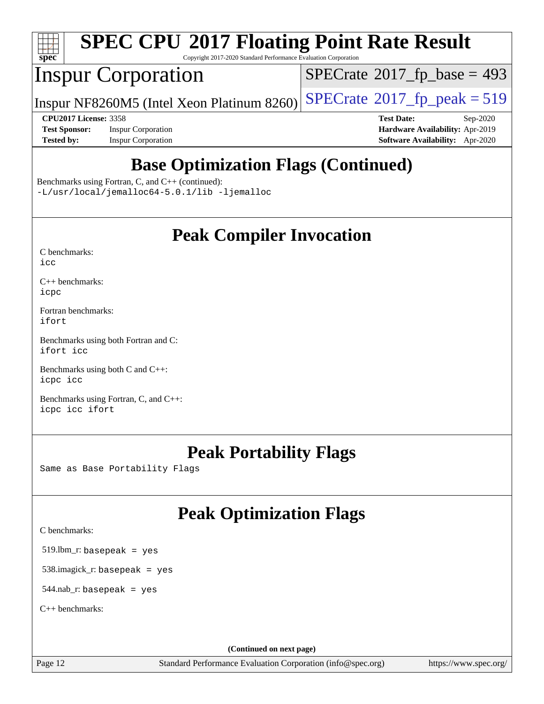

Copyright 2017-2020 Standard Performance Evaluation Corporation

## Inspur Corporation

 $SPECTate$ <sup>®</sup>[2017\\_fp\\_base =](http://www.spec.org/auto/cpu2017/Docs/result-fields.html#SPECrate2017fpbase) 493

Inspur NF8260M5 (Intel Xeon Platinum 8260) [SPECrate](http://www.spec.org/auto/cpu2017/Docs/result-fields.html#SPECrate2017fppeak)®2017\_fp\_peak =  $519$ 

**[Test Sponsor:](http://www.spec.org/auto/cpu2017/Docs/result-fields.html#TestSponsor)** Inspur Corporation **[Hardware Availability:](http://www.spec.org/auto/cpu2017/Docs/result-fields.html#HardwareAvailability)** Apr-2019 **[Tested by:](http://www.spec.org/auto/cpu2017/Docs/result-fields.html#Testedby)** Inspur Corporation **[Software Availability:](http://www.spec.org/auto/cpu2017/Docs/result-fields.html#SoftwareAvailability)** Apr-2020

**[CPU2017 License:](http://www.spec.org/auto/cpu2017/Docs/result-fields.html#CPU2017License)** 3358 **[Test Date:](http://www.spec.org/auto/cpu2017/Docs/result-fields.html#TestDate)** Sep-2020

## **[Base Optimization Flags \(Continued\)](http://www.spec.org/auto/cpu2017/Docs/result-fields.html#BaseOptimizationFlags)**

[Benchmarks using Fortran, C, and C++](http://www.spec.org/auto/cpu2017/Docs/result-fields.html#BenchmarksusingFortranCandCXX) (continued):

[-L/usr/local/jemalloc64-5.0.1/lib](http://www.spec.org/cpu2017/results/res2020q4/cpu2017-20200928-24044.flags.html#user_CC_CXX_FCbase_jemalloc_link_path64_1_cc289568b1a6c0fd3b62c91b824c27fcb5af5e8098e6ad028160d21144ef1b8aef3170d2acf0bee98a8da324cfe4f67d0a3d0c4cc4673d993d694dc2a0df248b) [-ljemalloc](http://www.spec.org/cpu2017/results/res2020q4/cpu2017-20200928-24044.flags.html#user_CC_CXX_FCbase_jemalloc_link_lib_d1249b907c500fa1c0672f44f562e3d0f79738ae9e3c4a9c376d49f265a04b9c99b167ecedbf6711b3085be911c67ff61f150a17b3472be731631ba4d0471706)

### **[Peak Compiler Invocation](http://www.spec.org/auto/cpu2017/Docs/result-fields.html#PeakCompilerInvocation)**

[C benchmarks](http://www.spec.org/auto/cpu2017/Docs/result-fields.html#Cbenchmarks):  $i$ cc

[C++ benchmarks:](http://www.spec.org/auto/cpu2017/Docs/result-fields.html#CXXbenchmarks) [icpc](http://www.spec.org/cpu2017/results/res2020q4/cpu2017-20200928-24044.flags.html#user_CXXpeak_intel_icpc_c510b6838c7f56d33e37e94d029a35b4a7bccf4766a728ee175e80a419847e808290a9b78be685c44ab727ea267ec2f070ec5dc83b407c0218cded6866a35d07)

[Fortran benchmarks](http://www.spec.org/auto/cpu2017/Docs/result-fields.html#Fortranbenchmarks): [ifort](http://www.spec.org/cpu2017/results/res2020q4/cpu2017-20200928-24044.flags.html#user_FCpeak_intel_ifort_8111460550e3ca792625aed983ce982f94888b8b503583aa7ba2b8303487b4d8a21a13e7191a45c5fd58ff318f48f9492884d4413fa793fd88dd292cad7027ca)

[Benchmarks using both Fortran and C](http://www.spec.org/auto/cpu2017/Docs/result-fields.html#BenchmarksusingbothFortranandC): [ifort](http://www.spec.org/cpu2017/results/res2020q4/cpu2017-20200928-24044.flags.html#user_CC_FCpeak_intel_ifort_8111460550e3ca792625aed983ce982f94888b8b503583aa7ba2b8303487b4d8a21a13e7191a45c5fd58ff318f48f9492884d4413fa793fd88dd292cad7027ca) [icc](http://www.spec.org/cpu2017/results/res2020q4/cpu2017-20200928-24044.flags.html#user_CC_FCpeak_intel_icc_66fc1ee009f7361af1fbd72ca7dcefbb700085f36577c54f309893dd4ec40d12360134090235512931783d35fd58c0460139e722d5067c5574d8eaf2b3e37e92)

[Benchmarks using both C and C++](http://www.spec.org/auto/cpu2017/Docs/result-fields.html#BenchmarksusingbothCandCXX): [icpc](http://www.spec.org/cpu2017/results/res2020q4/cpu2017-20200928-24044.flags.html#user_CC_CXXpeak_intel_icpc_c510b6838c7f56d33e37e94d029a35b4a7bccf4766a728ee175e80a419847e808290a9b78be685c44ab727ea267ec2f070ec5dc83b407c0218cded6866a35d07) [icc](http://www.spec.org/cpu2017/results/res2020q4/cpu2017-20200928-24044.flags.html#user_CC_CXXpeak_intel_icc_66fc1ee009f7361af1fbd72ca7dcefbb700085f36577c54f309893dd4ec40d12360134090235512931783d35fd58c0460139e722d5067c5574d8eaf2b3e37e92)

[Benchmarks using Fortran, C, and C++:](http://www.spec.org/auto/cpu2017/Docs/result-fields.html#BenchmarksusingFortranCandCXX) [icpc](http://www.spec.org/cpu2017/results/res2020q4/cpu2017-20200928-24044.flags.html#user_CC_CXX_FCpeak_intel_icpc_c510b6838c7f56d33e37e94d029a35b4a7bccf4766a728ee175e80a419847e808290a9b78be685c44ab727ea267ec2f070ec5dc83b407c0218cded6866a35d07) [icc](http://www.spec.org/cpu2017/results/res2020q4/cpu2017-20200928-24044.flags.html#user_CC_CXX_FCpeak_intel_icc_66fc1ee009f7361af1fbd72ca7dcefbb700085f36577c54f309893dd4ec40d12360134090235512931783d35fd58c0460139e722d5067c5574d8eaf2b3e37e92) [ifort](http://www.spec.org/cpu2017/results/res2020q4/cpu2017-20200928-24044.flags.html#user_CC_CXX_FCpeak_intel_ifort_8111460550e3ca792625aed983ce982f94888b8b503583aa7ba2b8303487b4d8a21a13e7191a45c5fd58ff318f48f9492884d4413fa793fd88dd292cad7027ca)

### **[Peak Portability Flags](http://www.spec.org/auto/cpu2017/Docs/result-fields.html#PeakPortabilityFlags)**

Same as Base Portability Flags

## **[Peak Optimization Flags](http://www.spec.org/auto/cpu2017/Docs/result-fields.html#PeakOptimizationFlags)**

[C benchmarks](http://www.spec.org/auto/cpu2017/Docs/result-fields.html#Cbenchmarks):

519.lbm\_r: basepeak = yes

538.imagick\_r: basepeak = yes

 $544$ .nab\_r: basepeak = yes

[C++ benchmarks:](http://www.spec.org/auto/cpu2017/Docs/result-fields.html#CXXbenchmarks)

**(Continued on next page)**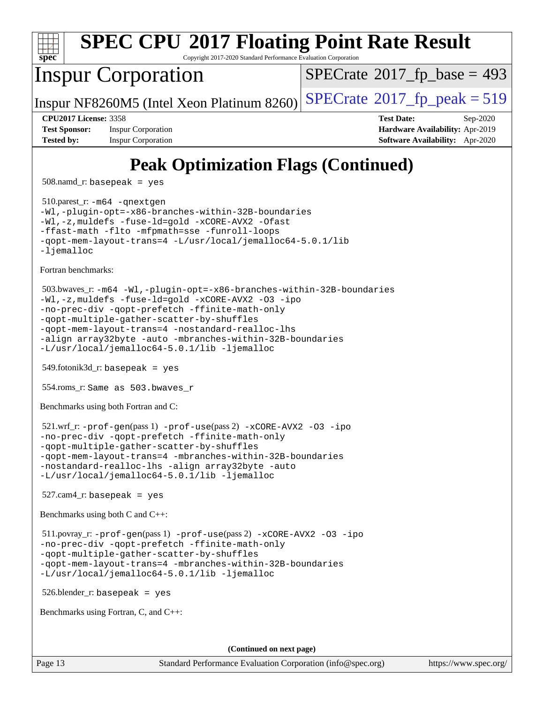

Copyright 2017-2020 Standard Performance Evaluation Corporation

## Inspur Corporation

 $SPECTate$ <sup>®</sup>[2017\\_fp\\_base =](http://www.spec.org/auto/cpu2017/Docs/result-fields.html#SPECrate2017fpbase) 493

Inspur NF8260M5 (Intel Xeon Platinum 8260) [SPECrate](http://www.spec.org/auto/cpu2017/Docs/result-fields.html#SPECrate2017fppeak)<sup>®</sup>[2017\\_fp\\_peak = 5](http://www.spec.org/auto/cpu2017/Docs/result-fields.html#SPECrate2017fppeak)19

**[Test Sponsor:](http://www.spec.org/auto/cpu2017/Docs/result-fields.html#TestSponsor)** Inspur Corporation **[Hardware Availability:](http://www.spec.org/auto/cpu2017/Docs/result-fields.html#HardwareAvailability)** Apr-2019 **[Tested by:](http://www.spec.org/auto/cpu2017/Docs/result-fields.html#Testedby)** Inspur Corporation **[Software Availability:](http://www.spec.org/auto/cpu2017/Docs/result-fields.html#SoftwareAvailability)** Apr-2020

**[CPU2017 License:](http://www.spec.org/auto/cpu2017/Docs/result-fields.html#CPU2017License)** 3358 **[Test Date:](http://www.spec.org/auto/cpu2017/Docs/result-fields.html#TestDate)** Sep-2020

# **[Peak Optimization Flags \(Continued\)](http://www.spec.org/auto/cpu2017/Docs/result-fields.html#PeakOptimizationFlags)**

508.namd\_r: basepeak = yes

 510.parest\_r: [-m64](http://www.spec.org/cpu2017/results/res2020q4/cpu2017-20200928-24044.flags.html#user_peakCXXLD510_parest_r_m64-icc) [-qnextgen](http://www.spec.org/cpu2017/results/res2020q4/cpu2017-20200928-24044.flags.html#user_peakCXXLD510_parest_r_f-qnextgen) [-Wl,-plugin-opt=-x86-branches-within-32B-boundaries](http://www.spec.org/cpu2017/results/res2020q4/cpu2017-20200928-24044.flags.html#user_peakLDFLAGS510_parest_r_f-x86-branches-within-32B-boundaries_0098b4e4317ae60947b7b728078a624952a08ac37a3c797dfb4ffeb399e0c61a9dd0f2f44ce917e9361fb9076ccb15e7824594512dd315205382d84209e912f3) [-Wl,-z,muldefs](http://www.spec.org/cpu2017/results/res2020q4/cpu2017-20200928-24044.flags.html#user_peakEXTRA_LDFLAGS510_parest_r_link_force_multiple1_b4cbdb97b34bdee9ceefcfe54f4c8ea74255f0b02a4b23e853cdb0e18eb4525ac79b5a88067c842dd0ee6996c24547a27a4b99331201badda8798ef8a743f577) [-fuse-ld=gold](http://www.spec.org/cpu2017/results/res2020q4/cpu2017-20200928-24044.flags.html#user_peakEXTRA_LDFLAGS510_parest_r_f-fuse-ld_920b3586e2b8c6e0748b9c84fa9b744736ba725a32cab14ad8f3d4ad28eecb2f59d1144823d2e17006539a88734fe1fc08fc3035f7676166309105a78aaabc32) [-xCORE-AVX2](http://www.spec.org/cpu2017/results/res2020q4/cpu2017-20200928-24044.flags.html#user_peakCXXOPTIMIZE510_parest_r_f-xCORE-AVX2) [-Ofast](http://www.spec.org/cpu2017/results/res2020q4/cpu2017-20200928-24044.flags.html#user_peakCXXOPTIMIZE510_parest_r_f-Ofast) [-ffast-math](http://www.spec.org/cpu2017/results/res2020q4/cpu2017-20200928-24044.flags.html#user_peakCXXOPTIMIZE510_parest_r_f-ffast-math) [-flto](http://www.spec.org/cpu2017/results/res2020q4/cpu2017-20200928-24044.flags.html#user_peakCXXOPTIMIZE510_parest_r_f-flto) [-mfpmath=sse](http://www.spec.org/cpu2017/results/res2020q4/cpu2017-20200928-24044.flags.html#user_peakCXXOPTIMIZE510_parest_r_f-mfpmath_70eb8fac26bde974f8ab713bc9086c5621c0b8d2f6c86f38af0bd7062540daf19db5f3a066d8c6684be05d84c9b6322eb3b5be6619d967835195b93d6c02afa1) [-funroll-loops](http://www.spec.org/cpu2017/results/res2020q4/cpu2017-20200928-24044.flags.html#user_peakCXXOPTIMIZE510_parest_r_f-funroll-loops) [-qopt-mem-layout-trans=4](http://www.spec.org/cpu2017/results/res2020q4/cpu2017-20200928-24044.flags.html#user_peakCXXOPTIMIZE510_parest_r_f-qopt-mem-layout-trans_fa39e755916c150a61361b7846f310bcdf6f04e385ef281cadf3647acec3f0ae266d1a1d22d972a7087a248fd4e6ca390a3634700869573d231a252c784941a8) [-L/usr/local/jemalloc64-5.0.1/lib](http://www.spec.org/cpu2017/results/res2020q4/cpu2017-20200928-24044.flags.html#user_peakEXTRA_LIBS510_parest_r_jemalloc_link_path64_1_cc289568b1a6c0fd3b62c91b824c27fcb5af5e8098e6ad028160d21144ef1b8aef3170d2acf0bee98a8da324cfe4f67d0a3d0c4cc4673d993d694dc2a0df248b) [-ljemalloc](http://www.spec.org/cpu2017/results/res2020q4/cpu2017-20200928-24044.flags.html#user_peakEXTRA_LIBS510_parest_r_jemalloc_link_lib_d1249b907c500fa1c0672f44f562e3d0f79738ae9e3c4a9c376d49f265a04b9c99b167ecedbf6711b3085be911c67ff61f150a17b3472be731631ba4d0471706)

[Fortran benchmarks](http://www.spec.org/auto/cpu2017/Docs/result-fields.html#Fortranbenchmarks):

```
 503.bwaves_r: -m64 -Wl,-plugin-opt=-x86-branches-within-32B-boundaries
-Wl,-z,muldefs -fuse-ld=gold -xCORE-AVX2 -O3 -ipo
-no-prec-div -qopt-prefetch -ffinite-math-only
-qopt-multiple-gather-scatter-by-shuffles
-qopt-mem-layout-trans=4 -nostandard-realloc-lhs
-align array32byte -auto -mbranches-within-32B-boundaries
-L/usr/local/jemalloc64-5.0.1/lib -ljemalloc
```
549.fotonik3d\_r: basepeak = yes

554.roms\_r: Same as 503.bwaves\_r

[Benchmarks using both Fortran and C](http://www.spec.org/auto/cpu2017/Docs/result-fields.html#BenchmarksusingbothFortranandC):

```
 521.wrf_r: -prof-gen(pass 1) -prof-use(pass 2) -xCORE-AVX2 -O3 -ipo
-no-prec-div -qopt-prefetch -ffinite-math-only
-qopt-multiple-gather-scatter-by-shuffles
-qopt-mem-layout-trans=4 -mbranches-within-32B-boundaries
-nostandard-realloc-lhs -align array32byte -auto
-L/usr/local/jemalloc64-5.0.1/lib -ljemalloc
```
 $527$ .cam $4$ \_r: basepeak = yes

[Benchmarks using both C and C++](http://www.spec.org/auto/cpu2017/Docs/result-fields.html#BenchmarksusingbothCandCXX):

```
 511.povray_r: -prof-gen(pass 1) -prof-use(pass 2) -xCORE-AVX2 -O3 -ipo
-no-prec-div -qopt-prefetch -ffinite-math-only
-qopt-multiple-gather-scatter-by-shuffles
-qopt-mem-layout-trans=4 -mbranches-within-32B-boundaries
-L/usr/local/jemalloc64-5.0.1/lib -ljemalloc
```
526.blender\_r: basepeak = yes

[Benchmarks using Fortran, C, and C++:](http://www.spec.org/auto/cpu2017/Docs/result-fields.html#BenchmarksusingFortranCandCXX)

**(Continued on next page)**